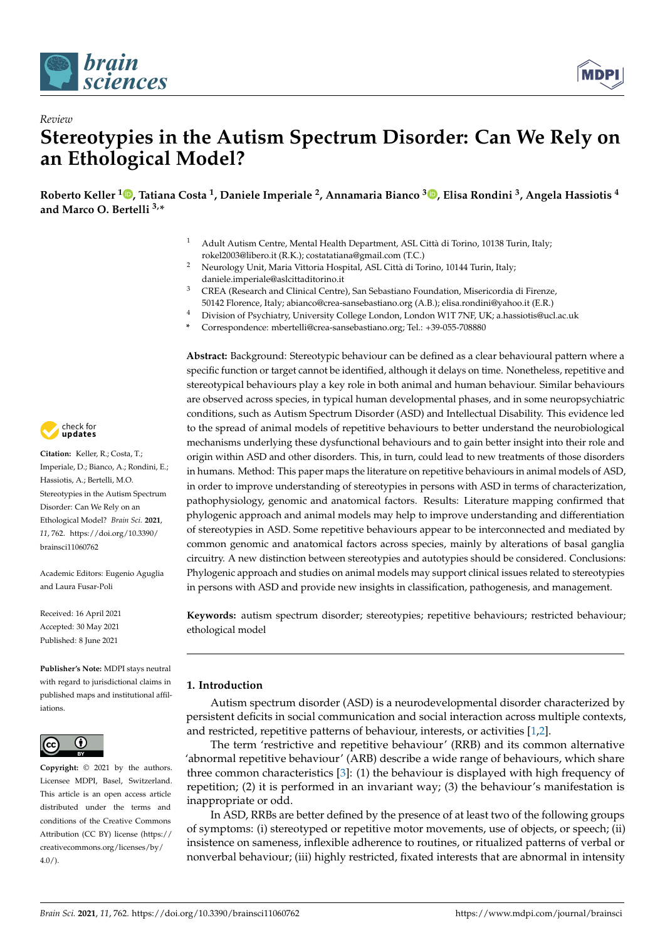

*Review*



# **Stereotypies in the Autism Spectrum Disorder: Can We Rely on an Ethological Model?**

**Roberto Keller <sup>1</sup> [,](https://orcid.org/0000-0002-6873-9827) Tatiana Costa <sup>1</sup> , Daniele Imperiale <sup>2</sup> , Annamaria Bianco <sup>3</sup> [,](https://orcid.org/0000-0002-8743-6709) Elisa Rondini <sup>3</sup> , Angela Hassiotis <sup>4</sup> and Marco O. Bertelli 3,\***

- <sup>1</sup> Adult Autism Centre, Mental Health Department, ASL Città di Torino, 10138 Turin, Italy; rokel2003@libero.it (R.K.); costatatiana@gmail.com (T.C.)
- <sup>2</sup> Neurology Unit, Maria Vittoria Hospital, ASL Città di Torino, 10144 Turin, Italy; daniele.imperiale@aslcittaditorino.it
- <sup>3</sup> CREA (Research and Clinical Centre), San Sebastiano Foundation, Misericordia di Firenze, 50142 Florence, Italy; abianco@crea-sansebastiano.org (A.B.); elisa.rondini@yahoo.it (E.R.)
- <sup>4</sup> Division of Psychiatry, University College London, London W1T 7NF, UK; a.hassiotis@ucl.ac.uk
- **\*** Correspondence: mbertelli@crea-sansebastiano.org; Tel.: +39-055-708880

**Abstract:** Background: Stereotypic behaviour can be defined as a clear behavioural pattern where a specific function or target cannot be identified, although it delays on time. Nonetheless, repetitive and stereotypical behaviours play a key role in both animal and human behaviour. Similar behaviours are observed across species, in typical human developmental phases, and in some neuropsychiatric conditions, such as Autism Spectrum Disorder (ASD) and Intellectual Disability. This evidence led to the spread of animal models of repetitive behaviours to better understand the neurobiological mechanisms underlying these dysfunctional behaviours and to gain better insight into their role and origin within ASD and other disorders. This, in turn, could lead to new treatments of those disorders in humans. Method: This paper maps the literature on repetitive behaviours in animal models of ASD, in order to improve understanding of stereotypies in persons with ASD in terms of characterization, pathophysiology, genomic and anatomical factors. Results: Literature mapping confirmed that phylogenic approach and animal models may help to improve understanding and differentiation of stereotypies in ASD. Some repetitive behaviours appear to be interconnected and mediated by common genomic and anatomical factors across species, mainly by alterations of basal ganglia circuitry. A new distinction between stereotypies and autotypies should be considered. Conclusions: Phylogenic approach and studies on animal models may support clinical issues related to stereotypies in persons with ASD and provide new insights in classification, pathogenesis, and management.

**Keywords:** autism spectrum disorder; stereotypies; repetitive behaviours; restricted behaviour; ethological model

## **1. Introduction**

Autism spectrum disorder (ASD) is a neurodevelopmental disorder characterized by persistent deficits in social communication and social interaction across multiple contexts, and restricted, repetitive patterns of behaviour, interests, or activities [\[1](#page-15-0)[,2\]](#page-15-1).

The term 'restrictive and repetitive behaviour' (RRB) and its common alternative 'abnormal repetitive behaviour' (ARB) describe a wide range of behaviours, which share three common characteristics [\[3\]](#page-15-2): (1) the behaviour is displayed with high frequency of repetition; (2) it is performed in an invariant way; (3) the behaviour's manifestation is inappropriate or odd.

In ASD, RRBs are better defined by the presence of at least two of the following groups of symptoms: (i) stereotyped or repetitive motor movements, use of objects, or speech; (ii) insistence on sameness, inflexible adherence to routines, or ritualized patterns of verbal or nonverbal behaviour; (iii) highly restricted, fixated interests that are abnormal in intensity



**Citation:** Keller, R.; Costa, T.; Imperiale, D.; Bianco, A.; Rondini, E.; Hassiotis, A.; Bertelli, M.O. Stereotypies in the Autism Spectrum Disorder: Can We Rely on an Ethological Model? *Brain Sci.* **2021**, *11*, 762. [https://doi.org/10.3390/](https://doi.org/10.3390/brainsci11060762) [brainsci11060762](https://doi.org/10.3390/brainsci11060762)

Academic Editors: Eugenio Aguglia and Laura Fusar-Poli

Received: 16 April 2021 Accepted: 30 May 2021 Published: 8 June 2021

**Publisher's Note:** MDPI stays neutral with regard to jurisdictional claims in published maps and institutional affiliations.



**Copyright:** © 2021 by the authors. Licensee MDPI, Basel, Switzerland. This article is an open access article distributed under the terms and conditions of the Creative Commons Attribution (CC BY) license (https:/[/](https://creativecommons.org/licenses/by/4.0/) [creativecommons.org/licenses/by/](https://creativecommons.org/licenses/by/4.0/)  $4.0/$ ).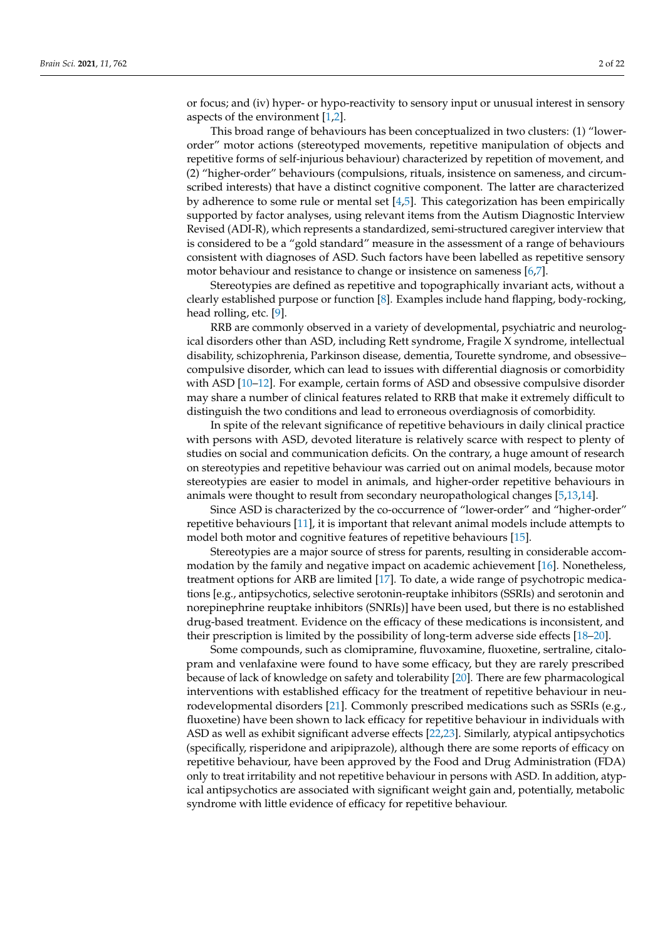or focus; and (iv) hyper- or hypo-reactivity to sensory input or unusual interest in sensory aspects of the environment [\[1,](#page-15-0)[2\]](#page-15-1).

This broad range of behaviours has been conceptualized in two clusters: (1) "lowerorder" motor actions (stereotyped movements, repetitive manipulation of objects and repetitive forms of self-injurious behaviour) characterized by repetition of movement, and (2) "higher-order" behaviours (compulsions, rituals, insistence on sameness, and circumscribed interests) that have a distinct cognitive component. The latter are characterized by adherence to some rule or mental set  $[4,5]$  $[4,5]$ . This categorization has been empirically supported by factor analyses, using relevant items from the Autism Diagnostic Interview Revised (ADI-R), which represents a standardized, semi-structured caregiver interview that is considered to be a "gold standard" measure in the assessment of a range of behaviours consistent with diagnoses of ASD. Such factors have been labelled as repetitive sensory motor behaviour and resistance to change or insistence on sameness [\[6,](#page-15-5)[7\]](#page-15-6).

Stereotypies are defined as repetitive and topographically invariant acts, without a clearly established purpose or function [\[8\]](#page-15-7). Examples include hand flapping, body-rocking, head rolling, etc. [\[9\]](#page-15-8).

RRB are commonly observed in a variety of developmental, psychiatric and neurological disorders other than ASD, including Rett syndrome, Fragile X syndrome, intellectual disability, schizophrenia, Parkinson disease, dementia, Tourette syndrome, and obsessive– compulsive disorder, which can lead to issues with differential diagnosis or comorbidity with ASD [\[10](#page-15-9)[–12\]](#page-15-10). For example, certain forms of ASD and obsessive compulsive disorder may share a number of clinical features related to RRB that make it extremely difficult to distinguish the two conditions and lead to erroneous overdiagnosis of comorbidity.

In spite of the relevant significance of repetitive behaviours in daily clinical practice with persons with ASD, devoted literature is relatively scarce with respect to plenty of studies on social and communication deficits. On the contrary, a huge amount of research on stereotypies and repetitive behaviour was carried out on animal models, because motor stereotypies are easier to model in animals, and higher-order repetitive behaviours in animals were thought to result from secondary neuropathological changes [\[5,](#page-15-4)[13,](#page-15-11)[14\]](#page-15-12).

Since ASD is characterized by the co-occurrence of "lower-order" and "higher-order" repetitive behaviours [\[11\]](#page-15-13), it is important that relevant animal models include attempts to model both motor and cognitive features of repetitive behaviours [\[15\]](#page-15-14).

Stereotypies are a major source of stress for parents, resulting in considerable accommodation by the family and negative impact on academic achievement [\[16\]](#page-15-15). Nonetheless, treatment options for ARB are limited [\[17\]](#page-16-0). To date, a wide range of psychotropic medications [e.g., antipsychotics, selective serotonin-reuptake inhibitors (SSRIs) and serotonin and norepinephrine reuptake inhibitors (SNRIs)] have been used, but there is no established drug-based treatment. Evidence on the efficacy of these medications is inconsistent, and their prescription is limited by the possibility of long-term adverse side effects [\[18–](#page-16-1)[20\]](#page-16-2).

Some compounds, such as clomipramine, fluvoxamine, fluoxetine, sertraline, citalopram and venlafaxine were found to have some efficacy, but they are rarely prescribed because of lack of knowledge on safety and tolerability [\[20\]](#page-16-2). There are few pharmacological interventions with established efficacy for the treatment of repetitive behaviour in neurodevelopmental disorders [\[21\]](#page-16-3). Commonly prescribed medications such as SSRIs (e.g., fluoxetine) have been shown to lack efficacy for repetitive behaviour in individuals with ASD as well as exhibit significant adverse effects [\[22,](#page-16-4)[23\]](#page-16-5). Similarly, atypical antipsychotics (specifically, risperidone and aripiprazole), although there are some reports of efficacy on repetitive behaviour, have been approved by the Food and Drug Administration (FDA) only to treat irritability and not repetitive behaviour in persons with ASD. In addition, atypical antipsychotics are associated with significant weight gain and, potentially, metabolic syndrome with little evidence of efficacy for repetitive behaviour.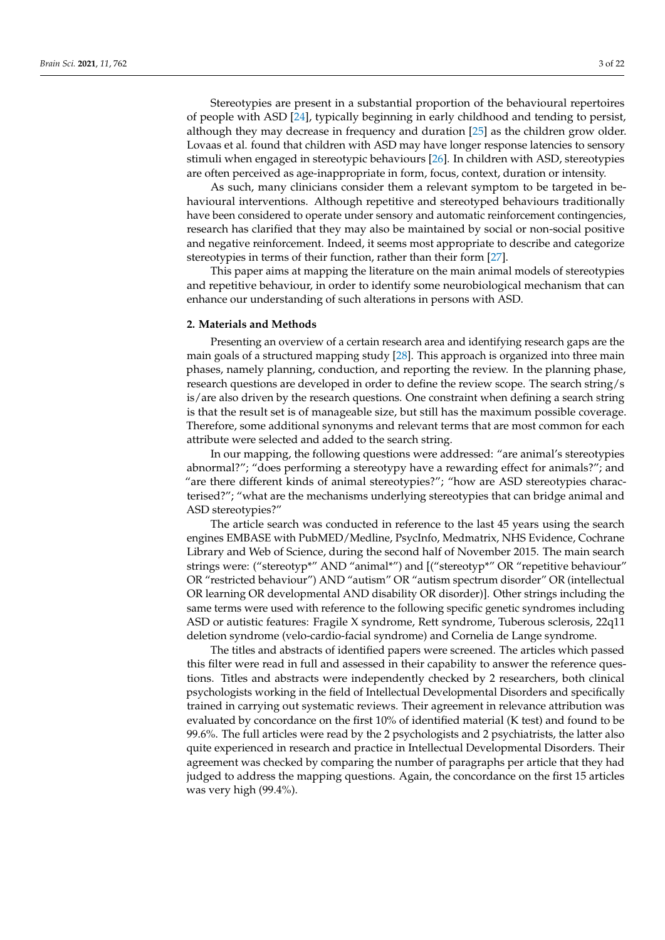Stereotypies are present in a substantial proportion of the behavioural repertoires of people with ASD [\[24\]](#page-16-6), typically beginning in early childhood and tending to persist, although they may decrease in frequency and duration [\[25\]](#page-16-7) as the children grow older. Lovaas et al. found that children with ASD may have longer response latencies to sensory stimuli when engaged in stereotypic behaviours [\[26\]](#page-16-8). In children with ASD, stereotypies are often perceived as age-inappropriate in form, focus, context, duration or intensity.

As such, many clinicians consider them a relevant symptom to be targeted in behavioural interventions. Although repetitive and stereotyped behaviours traditionally have been considered to operate under sensory and automatic reinforcement contingencies, research has clarified that they may also be maintained by social or non-social positive and negative reinforcement. Indeed, it seems most appropriate to describe and categorize stereotypies in terms of their function, rather than their form [\[27\]](#page-16-9).

This paper aims at mapping the literature on the main animal models of stereotypies and repetitive behaviour, in order to identify some neurobiological mechanism that can enhance our understanding of such alterations in persons with ASD.

### **2. Materials and Methods**

Presenting an overview of a certain research area and identifying research gaps are the main goals of a structured mapping study [\[28\]](#page-16-10). This approach is organized into three main phases, namely planning, conduction, and reporting the review. In the planning phase, research questions are developed in order to define the review scope. The search string/s is/are also driven by the research questions. One constraint when defining a search string is that the result set is of manageable size, but still has the maximum possible coverage. Therefore, some additional synonyms and relevant terms that are most common for each attribute were selected and added to the search string.

In our mapping, the following questions were addressed: "are animal's stereotypies abnormal?"; "does performing a stereotypy have a rewarding effect for animals?"; and "are there different kinds of animal stereotypies?"; "how are ASD stereotypies characterised?"; "what are the mechanisms underlying stereotypies that can bridge animal and ASD stereotypies?"

The article search was conducted in reference to the last 45 years using the search engines EMBASE with PubMED/Medline, PsycInfo, Medmatrix, NHS Evidence, Cochrane Library and Web of Science, during the second half of November 2015. The main search strings were: ("stereotyp\*" AND "animal\*") and [("stereotyp\*" OR "repetitive behaviour" OR "restricted behaviour") AND "autism" OR "autism spectrum disorder" OR (intellectual OR learning OR developmental AND disability OR disorder)]. Other strings including the same terms were used with reference to the following specific genetic syndromes including ASD or autistic features: Fragile X syndrome, Rett syndrome, Tuberous sclerosis, 22q11 deletion syndrome (velo-cardio-facial syndrome) and Cornelia de Lange syndrome.

The titles and abstracts of identified papers were screened. The articles which passed this filter were read in full and assessed in their capability to answer the reference questions. Titles and abstracts were independently checked by 2 researchers, both clinical psychologists working in the field of Intellectual Developmental Disorders and specifically trained in carrying out systematic reviews. Their agreement in relevance attribution was evaluated by concordance on the first 10% of identified material (K test) and found to be 99.6%. The full articles were read by the 2 psychologists and 2 psychiatrists, the latter also quite experienced in research and practice in Intellectual Developmental Disorders. Their agreement was checked by comparing the number of paragraphs per article that they had judged to address the mapping questions. Again, the concordance on the first 15 articles was very high (99.4%).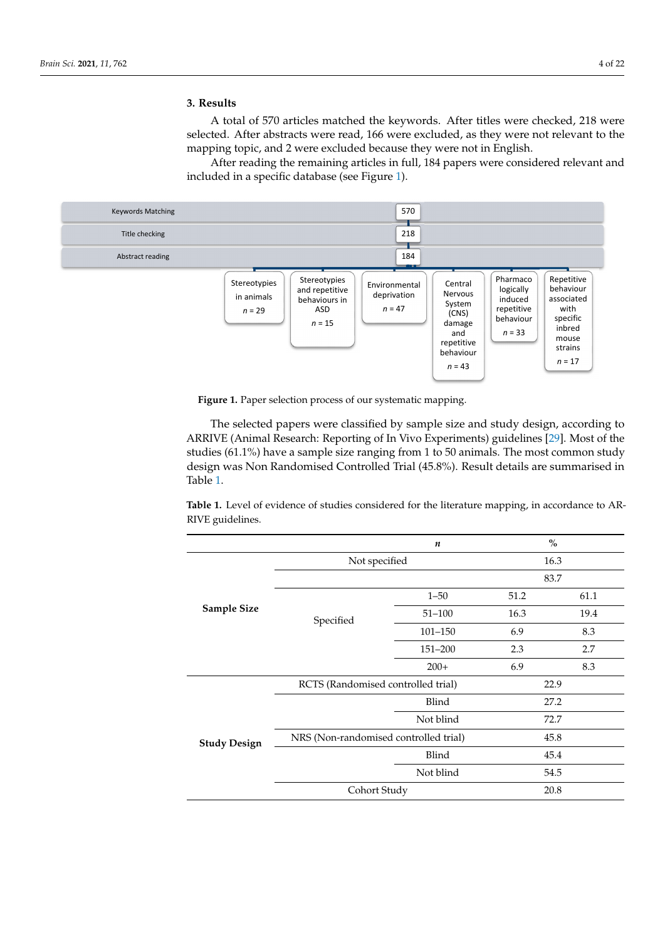# **3. Results 3. Results**

was very high (99.4%). The second control was very high (99.4%).

A total of 570 articles matched the keywords. After titles were checked, 218 were selected. After abstracts were read, 166 were excluded, as they were not relevant to the mapping topic, and 2 were excluded because they were not in English. ping topic, and 2 were excluded because they were not in English.

After reading the remaining articles in full, 184 papers were considered relevant and After reading the remaining articles in full, 184 papers were considered relevant and included in a specific database (see Figure 1). included in a specific database (see Figure [1\)](#page-3-0).

<span id="page-3-0"></span>

**Figure 1.** Paper selection process of our systematic mapping. **Figure 1.** Paper selection process of our systematic mapping.

The selected papers were classified by sample size and study design, according to ARRIVE (Animal Research: Reporting of In Vivo Experiments) guidelines [\[29\]](#page-16-11). Most of the studies (61.1%) have a sample size ranging from 1 to 50 animals. The most common study studies (61.1%) have a sample size ranging from 1 to 50 animals. The most common study the studies (61.1%) have a sample state ranging from 1 to 50 animals. The most common studies  $\frac{1}{2}$  and  $\frac{1}{2}$  and  $\frac{1}{2}$  and  $\frac{1}{2}$  and  $\frac{1}{2}$  and  $\frac{1}{2}$  and  $\frac{1}{2}$  and  $\frac{1}{2}$  and  $\frac{1}{2}$  and design was Non Randomised Controlled Trial (45.8%). Result details are summarised in<br>Table 1 rised in Table 1. The selected papers were classified by sample size and study design, according to Table [1.](#page-3-1)

<span id="page-3-1"></span>Table 1. Level of evidence of studies considered for the literature mapping, in accordance to AR-RIVE guidelines.

|                     |                                       | n           | $\%$ |      |
|---------------------|---------------------------------------|-------------|------|------|
|                     | Not specified                         |             | 16.3 |      |
| <b>Sample Size</b>  |                                       |             | 83.7 |      |
|                     | Specified                             | $1 - 50$    | 51.2 | 61.1 |
|                     |                                       | $51 - 100$  | 16.3 | 19.4 |
|                     |                                       | $101 - 150$ | 6.9  | 8.3  |
|                     |                                       | 151-200     | 2.3  | 2.7  |
|                     |                                       | $200+$      | 6.9  | 8.3  |
| <b>Study Design</b> | RCTS (Randomised controlled trial)    |             | 22.9 |      |
|                     |                                       | Blind       | 27.2 |      |
|                     |                                       | Not blind   |      | 72.7 |
|                     | NRS (Non-randomised controlled trial) |             | 45.8 |      |
|                     |                                       | Blind       |      | 45.4 |
|                     |                                       | Not blind   |      | 54.5 |
|                     | Cohort Study                          |             | 20.8 |      |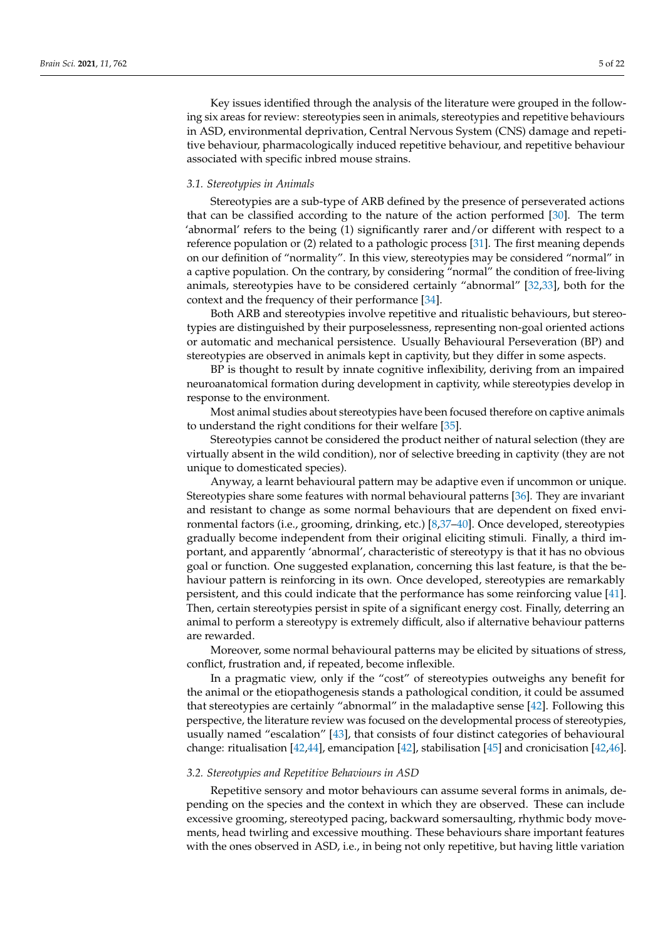Key issues identified through the analysis of the literature were grouped in the following six areas for review: stereotypies seen in animals, stereotypies and repetitive behaviours in ASD, environmental deprivation, Central Nervous System (CNS) damage and repetitive behaviour, pharmacologically induced repetitive behaviour, and repetitive behaviour associated with specific inbred mouse strains.

## *3.1. Stereotypies in Animals*

Stereotypies are a sub-type of ARB defined by the presence of perseverated actions that can be classified according to the nature of the action performed [\[30\]](#page-16-12). The term 'abnormal' refers to the being (1) significantly rarer and/or different with respect to a reference population or (2) related to a pathologic process [\[31\]](#page-16-13). The first meaning depends on our definition of "normality". In this view, stereotypies may be considered "normal" in a captive population. On the contrary, by considering "normal" the condition of free-living animals, stereotypies have to be considered certainly "abnormal" [\[32](#page-16-14)[,33\]](#page-16-15), both for the context and the frequency of their performance [\[34\]](#page-16-16).

Both ARB and stereotypies involve repetitive and ritualistic behaviours, but stereotypies are distinguished by their purposelessness, representing non-goal oriented actions or automatic and mechanical persistence. Usually Behavioural Perseveration (BP) and stereotypies are observed in animals kept in captivity, but they differ in some aspects.

BP is thought to result by innate cognitive inflexibility, deriving from an impaired neuroanatomical formation during development in captivity, while stereotypies develop in response to the environment.

Most animal studies about stereotypies have been focused therefore on captive animals to understand the right conditions for their welfare [\[35\]](#page-16-17).

Stereotypies cannot be considered the product neither of natural selection (they are virtually absent in the wild condition), nor of selective breeding in captivity (they are not unique to domesticated species).

Anyway, a learnt behavioural pattern may be adaptive even if uncommon or unique. Stereotypies share some features with normal behavioural patterns [\[36\]](#page-16-18). They are invariant and resistant to change as some normal behaviours that are dependent on fixed environmental factors (i.e., grooming, drinking, etc.) [\[8,](#page-15-7)[37](#page-16-19)[–40\]](#page-16-20). Once developed, stereotypies gradually become independent from their original eliciting stimuli. Finally, a third important, and apparently 'abnormal', characteristic of stereotypy is that it has no obvious goal or function. One suggested explanation, concerning this last feature, is that the behaviour pattern is reinforcing in its own. Once developed, stereotypies are remarkably persistent, and this could indicate that the performance has some reinforcing value [\[41\]](#page-16-21). Then, certain stereotypies persist in spite of a significant energy cost. Finally, deterring an animal to perform a stereotypy is extremely difficult, also if alternative behaviour patterns are rewarded.

Moreover, some normal behavioural patterns may be elicited by situations of stress, conflict, frustration and, if repeated, become inflexible.

In a pragmatic view, only if the "cost" of stereotypies outweighs any benefit for the animal or the etiopathogenesis stands a pathological condition, it could be assumed that stereotypies are certainly "abnormal" in the maladaptive sense [\[42\]](#page-16-22). Following this perspective, the literature review was focused on the developmental process of stereotypies, usually named "escalation" [\[43\]](#page-16-23), that consists of four distinct categories of behavioural change: ritualisation [\[42](#page-16-22)[,44\]](#page-16-24), emancipation [\[42\]](#page-16-22), stabilisation [\[45\]](#page-16-25) and cronicisation [\[42](#page-16-22)[,46\]](#page-16-26).

## *3.2. Stereotypies and Repetitive Behaviours in ASD*

Repetitive sensory and motor behaviours can assume several forms in animals, depending on the species and the context in which they are observed. These can include excessive grooming, stereotyped pacing, backward somersaulting, rhythmic body movements, head twirling and excessive mouthing. These behaviours share important features with the ones observed in ASD, i.e., in being not only repetitive, but having little variation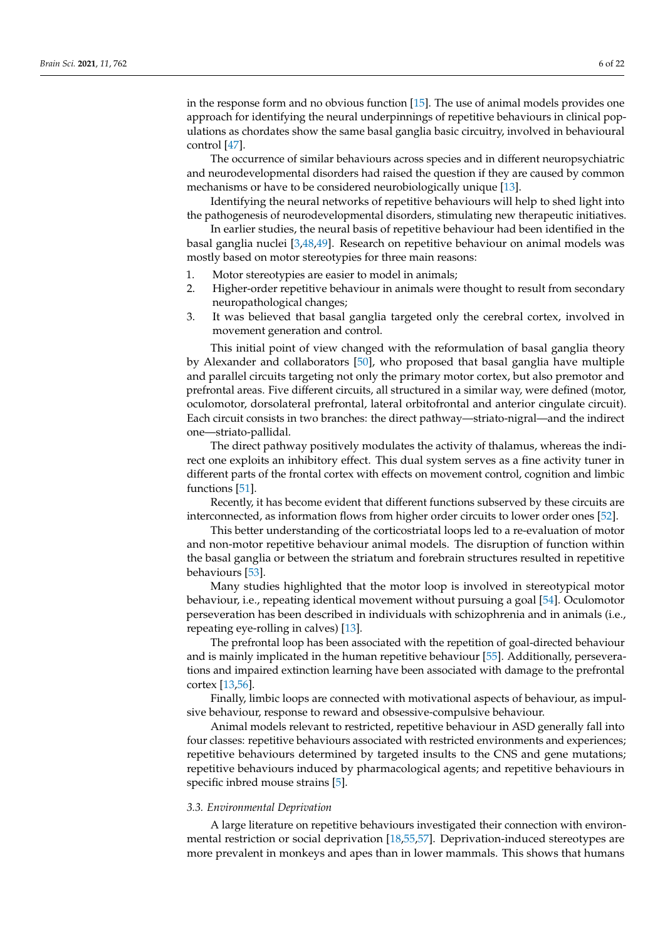in the response form and no obvious function [\[15\]](#page-15-14). The use of animal models provides one approach for identifying the neural underpinnings of repetitive behaviours in clinical populations as chordates show the same basal ganglia basic circuitry, involved in behavioural control [\[47\]](#page-16-27).

The occurrence of similar behaviours across species and in different neuropsychiatric and neurodevelopmental disorders had raised the question if they are caused by common mechanisms or have to be considered neurobiologically unique [\[13\]](#page-15-11).

Identifying the neural networks of repetitive behaviours will help to shed light into the pathogenesis of neurodevelopmental disorders, stimulating new therapeutic initiatives.

In earlier studies, the neural basis of repetitive behaviour had been identified in the basal ganglia nuclei [\[3,](#page-15-2)[48,](#page-16-28)[49\]](#page-16-29). Research on repetitive behaviour on animal models was mostly based on motor stereotypies for three main reasons:

- 1. Motor stereotypies are easier to model in animals;
- 2. Higher-order repetitive behaviour in animals were thought to result from secondary neuropathological changes;
- 3. It was believed that basal ganglia targeted only the cerebral cortex, involved in movement generation and control.

This initial point of view changed with the reformulation of basal ganglia theory by Alexander and collaborators [\[50\]](#page-17-0), who proposed that basal ganglia have multiple and parallel circuits targeting not only the primary motor cortex, but also premotor and prefrontal areas. Five different circuits, all structured in a similar way, were defined (motor, oculomotor, dorsolateral prefrontal, lateral orbitofrontal and anterior cingulate circuit). Each circuit consists in two branches: the direct pathway—striato-nigral—and the indirect one—striato-pallidal.

The direct pathway positively modulates the activity of thalamus, whereas the indirect one exploits an inhibitory effect. This dual system serves as a fine activity tuner in different parts of the frontal cortex with effects on movement control, cognition and limbic functions [\[51\]](#page-17-1).

Recently, it has become evident that different functions subserved by these circuits are interconnected, as information flows from higher order circuits to lower order ones [\[52\]](#page-17-2).

This better understanding of the corticostriatal loops led to a re-evaluation of motor and non-motor repetitive behaviour animal models. The disruption of function within the basal ganglia or between the striatum and forebrain structures resulted in repetitive behaviours [\[53\]](#page-17-3).

Many studies highlighted that the motor loop is involved in stereotypical motor behaviour, i.e., repeating identical movement without pursuing a goal [\[54\]](#page-17-4). Oculomotor perseveration has been described in individuals with schizophrenia and in animals (i.e., repeating eye-rolling in calves) [\[13\]](#page-15-11).

The prefrontal loop has been associated with the repetition of goal-directed behaviour and is mainly implicated in the human repetitive behaviour [\[55\]](#page-17-5). Additionally, perseverations and impaired extinction learning have been associated with damage to the prefrontal cortex [\[13](#page-15-11)[,56\]](#page-17-6).

Finally, limbic loops are connected with motivational aspects of behaviour, as impulsive behaviour, response to reward and obsessive-compulsive behaviour.

Animal models relevant to restricted, repetitive behaviour in ASD generally fall into four classes: repetitive behaviours associated with restricted environments and experiences; repetitive behaviours determined by targeted insults to the CNS and gene mutations; repetitive behaviours induced by pharmacological agents; and repetitive behaviours in specific inbred mouse strains [\[5\]](#page-15-4).

#### *3.3. Environmental Deprivation*

A large literature on repetitive behaviours investigated their connection with environmental restriction or social deprivation [\[18,](#page-16-1)[55,](#page-17-5)[57\]](#page-17-7). Deprivation-induced stereotypes are more prevalent in monkeys and apes than in lower mammals. This shows that humans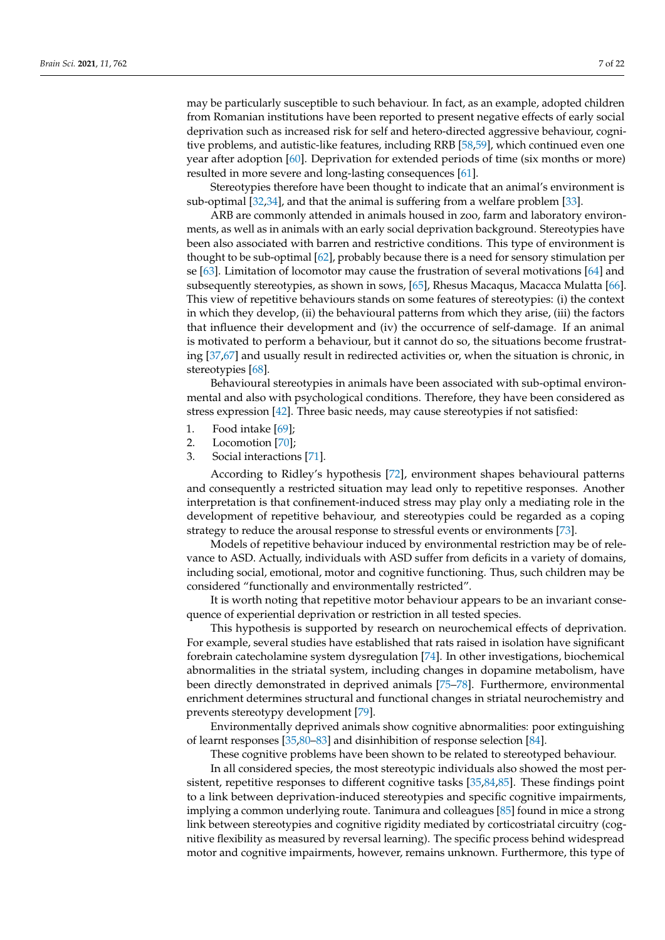may be particularly susceptible to such behaviour. In fact, as an example, adopted children from Romanian institutions have been reported to present negative effects of early social deprivation such as increased risk for self and hetero-directed aggressive behaviour, cognitive problems, and autistic-like features, including RRB [\[58,](#page-17-8)[59\]](#page-17-9), which continued even one year after adoption [\[60\]](#page-17-10). Deprivation for extended periods of time (six months or more) resulted in more severe and long-lasting consequences [\[61\]](#page-17-11).

Stereotypies therefore have been thought to indicate that an animal's environment is sub-optimal [\[32](#page-16-14)[,34\]](#page-16-16), and that the animal is suffering from a welfare problem [\[33\]](#page-16-15).

ARB are commonly attended in animals housed in zoo, farm and laboratory environments, as well as in animals with an early social deprivation background. Stereotypies have been also associated with barren and restrictive conditions. This type of environment is thought to be sub-optimal [\[62\]](#page-17-12), probably because there is a need for sensory stimulation per se [\[63\]](#page-17-13). Limitation of locomotor may cause the frustration of several motivations [\[64\]](#page-17-14) and subsequently stereotypies, as shown in sows, [\[65\]](#page-17-15), Rhesus Macaqus, Macacca Mulatta [\[66\]](#page-17-16). This view of repetitive behaviours stands on some features of stereotypies: (i) the context in which they develop, (ii) the behavioural patterns from which they arise, (iii) the factors that influence their development and (iv) the occurrence of self-damage. If an animal is motivated to perform a behaviour, but it cannot do so, the situations become frustrating [\[37,](#page-16-19)[67\]](#page-17-17) and usually result in redirected activities or, when the situation is chronic, in stereotypies [\[68\]](#page-17-18).

Behavioural stereotypies in animals have been associated with sub-optimal environmental and also with psychological conditions. Therefore, they have been considered as stress expression [\[42\]](#page-16-22). Three basic needs, may cause stereotypies if not satisfied:

- 1. Food intake [\[69\]](#page-17-19);
- 2. Locomotion [\[70\]](#page-17-20);
- 3. Social interactions [\[71\]](#page-17-21).

According to Ridley's hypothesis [\[72\]](#page-17-22), environment shapes behavioural patterns and consequently a restricted situation may lead only to repetitive responses. Another interpretation is that confinement-induced stress may play only a mediating role in the development of repetitive behaviour, and stereotypies could be regarded as a coping strategy to reduce the arousal response to stressful events or environments [\[73\]](#page-17-23).

Models of repetitive behaviour induced by environmental restriction may be of relevance to ASD. Actually, individuals with ASD suffer from deficits in a variety of domains, including social, emotional, motor and cognitive functioning. Thus, such children may be considered "functionally and environmentally restricted".

It is worth noting that repetitive motor behaviour appears to be an invariant consequence of experiential deprivation or restriction in all tested species.

This hypothesis is supported by research on neurochemical effects of deprivation. For example, several studies have established that rats raised in isolation have significant forebrain catecholamine system dysregulation [\[74\]](#page-17-24). In other investigations, biochemical abnormalities in the striatal system, including changes in dopamine metabolism, have been directly demonstrated in deprived animals [\[75–](#page-17-25)[78\]](#page-17-26). Furthermore, environmental enrichment determines structural and functional changes in striatal neurochemistry and prevents stereotypy development [\[79\]](#page-18-0).

Environmentally deprived animals show cognitive abnormalities: poor extinguishing of learnt responses [\[35,](#page-16-17)[80](#page-18-1)[–83\]](#page-18-2) and disinhibition of response selection [\[84\]](#page-18-3).

These cognitive problems have been shown to be related to stereotyped behaviour. In all considered species, the most stereotypic individuals also showed the most per-

sistent, repetitive responses to different cognitive tasks [\[35,](#page-16-17)[84,](#page-18-3)[85\]](#page-18-4). These findings point to a link between deprivation-induced stereotypies and specific cognitive impairments, implying a common underlying route. Tanimura and colleagues [\[85\]](#page-18-4) found in mice a strong link between stereotypies and cognitive rigidity mediated by corticostriatal circuitry (cognitive flexibility as measured by reversal learning). The specific process behind widespread motor and cognitive impairments, however, remains unknown. Furthermore, this type of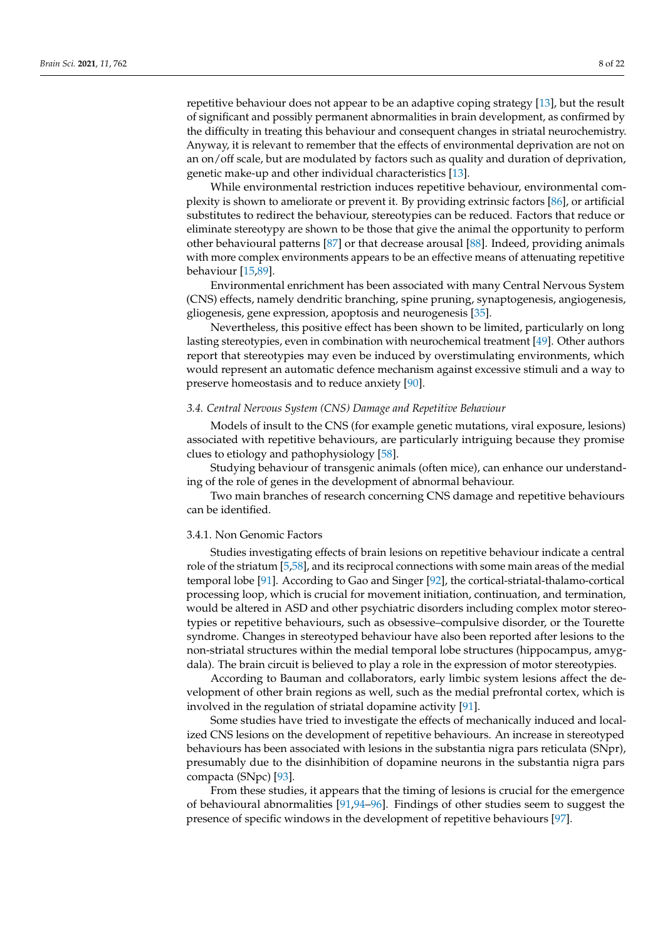repetitive behaviour does not appear to be an adaptive coping strategy [\[13\]](#page-15-11), but the result of significant and possibly permanent abnormalities in brain development, as confirmed by the difficulty in treating this behaviour and consequent changes in striatal neurochemistry. Anyway, it is relevant to remember that the effects of environmental deprivation are not on an on/off scale, but are modulated by factors such as quality and duration of deprivation, genetic make-up and other individual characteristics [\[13\]](#page-15-11).

While environmental restriction induces repetitive behaviour, environmental complexity is shown to ameliorate or prevent it. By providing extrinsic factors [\[86\]](#page-18-5), or artificial substitutes to redirect the behaviour, stereotypies can be reduced. Factors that reduce or eliminate stereotypy are shown to be those that give the animal the opportunity to perform other behavioural patterns [\[87\]](#page-18-6) or that decrease arousal [\[88\]](#page-18-7). Indeed, providing animals with more complex environments appears to be an effective means of attenuating repetitive behaviour [\[15,](#page-15-14)[89\]](#page-18-8).

Environmental enrichment has been associated with many Central Nervous System (CNS) effects, namely dendritic branching, spine pruning, synaptogenesis, angiogenesis, gliogenesis, gene expression, apoptosis and neurogenesis [\[35\]](#page-16-17).

Nevertheless, this positive effect has been shown to be limited, particularly on long lasting stereotypies, even in combination with neurochemical treatment [\[49\]](#page-16-29). Other authors report that stereotypies may even be induced by overstimulating environments, which would represent an automatic defence mechanism against excessive stimuli and a way to preserve homeostasis and to reduce anxiety [\[90\]](#page-18-9).

## *3.4. Central Nervous System (CNS) Damage and Repetitive Behaviour*

Models of insult to the CNS (for example genetic mutations, viral exposure, lesions) associated with repetitive behaviours, are particularly intriguing because they promise clues to etiology and pathophysiology [\[58\]](#page-17-8).

Studying behaviour of transgenic animals (often mice), can enhance our understanding of the role of genes in the development of abnormal behaviour.

Two main branches of research concerning CNS damage and repetitive behaviours can be identified.

## 3.4.1. Non Genomic Factors

Studies investigating effects of brain lesions on repetitive behaviour indicate a central role of the striatum [\[5](#page-15-4)[,58\]](#page-17-8), and its reciprocal connections with some main areas of the medial temporal lobe [\[91\]](#page-18-10). According to Gao and Singer [\[92\]](#page-18-11), the cortical-striatal-thalamo-cortical processing loop, which is crucial for movement initiation, continuation, and termination, would be altered in ASD and other psychiatric disorders including complex motor stereotypies or repetitive behaviours, such as obsessive–compulsive disorder, or the Tourette syndrome. Changes in stereotyped behaviour have also been reported after lesions to the non-striatal structures within the medial temporal lobe structures (hippocampus, amygdala). The brain circuit is believed to play a role in the expression of motor stereotypies.

According to Bauman and collaborators, early limbic system lesions affect the development of other brain regions as well, such as the medial prefrontal cortex, which is involved in the regulation of striatal dopamine activity [\[91\]](#page-18-10).

Some studies have tried to investigate the effects of mechanically induced and localized CNS lesions on the development of repetitive behaviours. An increase in stereotyped behaviours has been associated with lesions in the substantia nigra pars reticulata (SNpr), presumably due to the disinhibition of dopamine neurons in the substantia nigra pars compacta (SNpc) [\[93\]](#page-18-12).

From these studies, it appears that the timing of lesions is crucial for the emergence of behavioural abnormalities [\[91](#page-18-10)[,94–](#page-18-13)[96\]](#page-18-14). Findings of other studies seem to suggest the presence of specific windows in the development of repetitive behaviours [\[97\]](#page-18-15).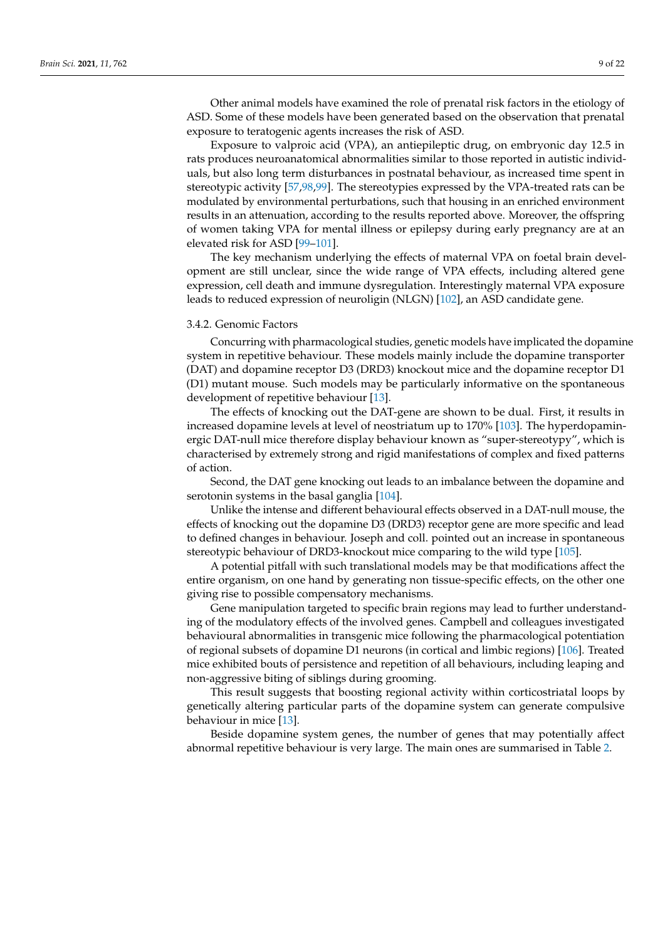Other animal models have examined the role of prenatal risk factors in the etiology of ASD. Some of these models have been generated based on the observation that prenatal exposure to teratogenic agents increases the risk of ASD.

Exposure to valproic acid (VPA), an antiepileptic drug, on embryonic day 12.5 in rats produces neuroanatomical abnormalities similar to those reported in autistic individuals, but also long term disturbances in postnatal behaviour, as increased time spent in stereotypic activity [\[57](#page-17-7)[,98](#page-18-16)[,99\]](#page-18-17). The stereotypies expressed by the VPA-treated rats can be modulated by environmental perturbations, such that housing in an enriched environment results in an attenuation, according to the results reported above. Moreover, the offspring of women taking VPA for mental illness or epilepsy during early pregnancy are at an elevated risk for ASD [\[99–](#page-18-17)[101\]](#page-18-18).

The key mechanism underlying the effects of maternal VPA on foetal brain development are still unclear, since the wide range of VPA effects, including altered gene expression, cell death and immune dysregulation. Interestingly maternal VPA exposure leads to reduced expression of neuroligin (NLGN) [\[102\]](#page-18-19), an ASD candidate gene.

## 3.4.2. Genomic Factors

Concurring with pharmacological studies, genetic models have implicated the dopamine system in repetitive behaviour. These models mainly include the dopamine transporter (DAT) and dopamine receptor D3 (DRD3) knockout mice and the dopamine receptor D1 (D1) mutant mouse. Such models may be particularly informative on the spontaneous development of repetitive behaviour [\[13\]](#page-15-11).

The effects of knocking out the DAT-gene are shown to be dual. First, it results in increased dopamine levels at level of neostriatum up to 170% [\[103\]](#page-18-20). The hyperdopaminergic DAT-null mice therefore display behaviour known as "super-stereotypy", which is characterised by extremely strong and rigid manifestations of complex and fixed patterns of action.

Second, the DAT gene knocking out leads to an imbalance between the dopamine and serotonin systems in the basal ganglia [\[104\]](#page-18-21).

Unlike the intense and different behavioural effects observed in a DAT-null mouse, the effects of knocking out the dopamine D3 (DRD3) receptor gene are more specific and lead to defined changes in behaviour. Joseph and coll. pointed out an increase in spontaneous stereotypic behaviour of DRD3-knockout mice comparing to the wild type [\[105\]](#page-18-22).

A potential pitfall with such translational models may be that modifications affect the entire organism, on one hand by generating non tissue-specific effects, on the other one giving rise to possible compensatory mechanisms.

Gene manipulation targeted to specific brain regions may lead to further understanding of the modulatory effects of the involved genes. Campbell and colleagues investigated behavioural abnormalities in transgenic mice following the pharmacological potentiation of regional subsets of dopamine D1 neurons (in cortical and limbic regions) [\[106\]](#page-18-23). Treated mice exhibited bouts of persistence and repetition of all behaviours, including leaping and non-aggressive biting of siblings during grooming.

This result suggests that boosting regional activity within corticostriatal loops by genetically altering particular parts of the dopamine system can generate compulsive behaviour in mice [\[13\]](#page-15-11).

Beside dopamine system genes, the number of genes that may potentially affect abnormal repetitive behaviour is very large. The main ones are summarised in Table [2.](#page-9-0)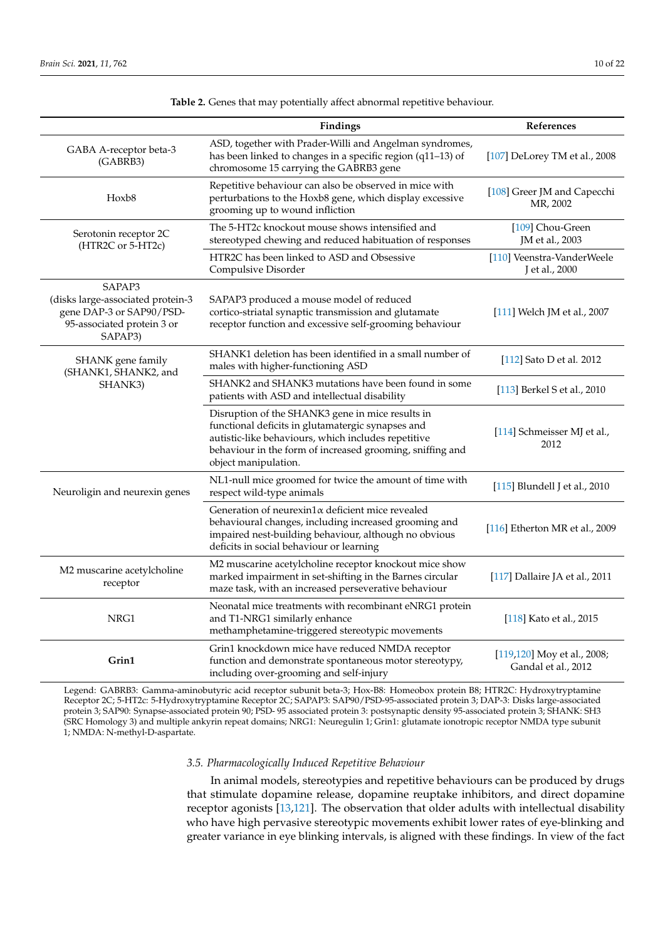<span id="page-9-0"></span>

|                                                                                                                  | Findings                                                                                                                                                                                                                                          | References                                         |
|------------------------------------------------------------------------------------------------------------------|---------------------------------------------------------------------------------------------------------------------------------------------------------------------------------------------------------------------------------------------------|----------------------------------------------------|
| GABA A-receptor beta-3<br>(GABRB3)                                                                               | ASD, together with Prader-Willi and Angelman syndromes,<br>has been linked to changes in a specific region (q11-13) of<br>chromosome 15 carrying the GABRB3 gene                                                                                  |                                                    |
| Hoxb <sub>8</sub>                                                                                                | Repetitive behaviour can also be observed in mice with<br>perturbations to the Hoxb8 gene, which display excessive<br>grooming up to wound infliction                                                                                             |                                                    |
| Serotonin receptor 2C<br>(HTR2C or 5-HT2c)                                                                       | The 5-HT2c knockout mouse shows intensified and<br>stereotyped chewing and reduced habituation of responses                                                                                                                                       | [109] Chou-Green<br>JM et al., 2003                |
|                                                                                                                  | HTR2C has been linked to ASD and Obsessive<br>Compulsive Disorder                                                                                                                                                                                 | [110] Veenstra-VanderWeele<br>J et al., 2000       |
| SAPAP3<br>(disks large-associated protein-3<br>gene DAP-3 or SAP90/PSD-<br>95-associated protein 3 or<br>SAPAP3) | SAPAP3 produced a mouse model of reduced<br>cortico-striatal synaptic transmission and glutamate<br>receptor function and excessive self-grooming behaviour                                                                                       | [111] Welch JM et al., 2007                        |
| SHANK gene family<br>(SHANK1, SHANK2, and                                                                        | SHANK1 deletion has been identified in a small number of<br>males with higher-functioning ASD                                                                                                                                                     | [112] Sato D et al. 2012                           |
| SHANK3)                                                                                                          | SHANK2 and SHANK3 mutations have been found in some<br>patients with ASD and intellectual disability                                                                                                                                              | [113] Berkel S et al., 2010                        |
|                                                                                                                  | Disruption of the SHANK3 gene in mice results in<br>functional deficits in glutamatergic synapses and<br>autistic-like behaviours, which includes repetitive<br>behaviour in the form of increased grooming, sniffing and<br>object manipulation. | [114] Schmeisser MJ et al.,<br>2012                |
| Neuroligin and neurexin genes                                                                                    | NL1-null mice groomed for twice the amount of time with<br>respect wild-type animals                                                                                                                                                              | [115] Blundell J et al., 2010                      |
|                                                                                                                  | Generation of neurexin1 $\alpha$ deficient mice revealed<br>behavioural changes, including increased grooming and<br>impaired nest-building behaviour, although no obvious<br>deficits in social behaviour or learning                            | [116] Etherton MR et al., 2009                     |
| M2 muscarine acetylcholine<br>receptor                                                                           | M2 muscarine acetylcholine receptor knockout mice show<br>marked impairment in set-shifting in the Barnes circular<br>maze task, with an increased perseverative behaviour                                                                        | [117] Dallaire JA et al., 2011                     |
| NRG1                                                                                                             | Neonatal mice treatments with recombinant eNRG1 protein<br>and T1-NRG1 similarly enhance<br>methamphetamine-triggered stereotypic movements                                                                                                       | [118] Kato et al., 2015                            |
| Grin1                                                                                                            | Grin1 knockdown mice have reduced NMDA receptor<br>function and demonstrate spontaneous motor stereotypy,<br>including over-grooming and self-injury                                                                                              | [119,120] Moy et al., 2008;<br>Gandal et al., 2012 |

**Table 2.** Genes that may potentially affect abnormal repetitive behaviour.

Legend: GABRB3: Gamma-aminobutyric acid receptor subunit beta-3; Hox-B8: Homeobox protein B8; HTR2C: Hydroxytryptamine Receptor 2C; 5-HT2c: 5-Hydroxytryptamine Receptor 2C; SAPAP3: SAP90/PSD-95-associated protein 3; DAP-3: Disks large-associated protein 3; SAP90: Synapse-associated protein 90; PSD- 95 associated protein 3: postsynaptic density 95-associated protein 3; SHANK: SH3 (SRC Homology 3) and multiple ankyrin repeat domains; NRG1: Neuregulin 1; Grin1: glutamate ionotropic receptor NMDA type subunit 1; NMDA: N-methyl-D-aspartate.

## *3.5. Pharmacologically Induced Repetitive Behaviour*

In animal models, stereotypies and repetitive behaviours can be produced by drugs that stimulate dopamine release, dopamine reuptake inhibitors, and direct dopamine receptor agonists [\[13](#page-15-11)[,121\]](#page-19-13). The observation that older adults with intellectual disability who have high pervasive stereotypic movements exhibit lower rates of eye-blinking and greater variance in eye blinking intervals, is aligned with these findings. In view of the fact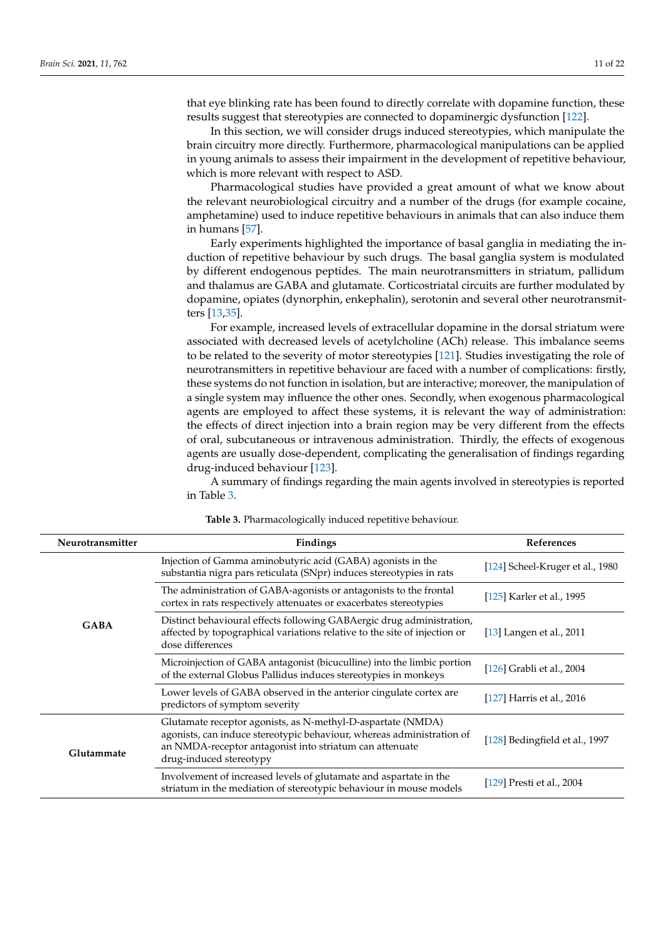that eye blinking rate has been found to directly correlate with dopamine function, these results suggest that stereotypies are connected to dopaminergic dysfunction [\[122\]](#page-19-14).

In this section, we will consider drugs induced stereotypies, which manipulate the brain circuitry more directly. Furthermore, pharmacological manipulations can be applied in young animals to assess their impairment in the development of repetitive behaviour, which is more relevant with respect to ASD.

Pharmacological studies have provided a great amount of what we know about the relevant neurobiological circuitry and a number of the drugs (for example cocaine, amphetamine) used to induce repetitive behaviours in animals that can also induce them in humans [\[57\]](#page-17-7).

Early experiments highlighted the importance of basal ganglia in mediating the induction of repetitive behaviour by such drugs. The basal ganglia system is modulated by different endogenous peptides. The main neurotransmitters in striatum, pallidum and thalamus are GABA and glutamate. Corticostriatal circuits are further modulated by dopamine, opiates (dynorphin, enkephalin), serotonin and several other neurotransmitters [\[13,](#page-15-11)[35\]](#page-16-17).

For example, increased levels of extracellular dopamine in the dorsal striatum were associated with decreased levels of acetylcholine (ACh) release. This imbalance seems to be related to the severity of motor stereotypies [\[121\]](#page-19-13). Studies investigating the role of neurotransmitters in repetitive behaviour are faced with a number of complications: firstly, these systems do not function in isolation, but are interactive; moreover, the manipulation of a single system may influence the other ones. Secondly, when exogenous pharmacological agents are employed to affect these systems, it is relevant the way of administration: the effects of direct injection into a brain region may be very different from the effects of oral, subcutaneous or intravenous administration. Thirdly, the effects of exogenous agents are usually dose-dependent, complicating the generalisation of findings regarding drug-induced behaviour [\[123\]](#page-19-15).

A summary of findings regarding the main agents involved in stereotypies is reported in Table [3.](#page-10-0)

<span id="page-10-0"></span>

| Neurotransmitter | Findings                                                                                                                                                                                                                   | References                       |  |
|------------------|----------------------------------------------------------------------------------------------------------------------------------------------------------------------------------------------------------------------------|----------------------------------|--|
| <b>GABA</b>      | Injection of Gamma aminobutyric acid (GABA) agonists in the<br>substantia nigra pars reticulata (SNpr) induces stereotypies in rats                                                                                        | [124] Scheel-Kruger et al., 1980 |  |
|                  | The administration of GABA-agonists or antagonists to the frontal<br>cortex in rats respectively attenuates or exacerbates stereotypies                                                                                    | [125] Karler et al., 1995        |  |
|                  | Distinct behavioural effects following GABAergic drug administration,<br>affected by topographical variations relative to the site of injection or<br>dose differences                                                     | [13] Langen et al., $2011$       |  |
|                  | Microinjection of GABA antagonist (bicuculline) into the limbic portion<br>of the external Globus Pallidus induces stereotypies in monkeys                                                                                 | [126] Grabli et al., 2004        |  |
|                  | Lower levels of GABA observed in the anterior cingulate cortex are<br>predictors of symptom severity                                                                                                                       | [127] Harris et al., 2016        |  |
| Glutammate       | Glutamate receptor agonists, as N-methyl-D-aspartate (NMDA)<br>agonists, can induce stereotypic behaviour, whereas administration of<br>an NMDA-receptor antagonist into striatum can attenuate<br>drug-induced stereotypy | [128] Bedingfield et al., 1997   |  |
|                  | Involvement of increased levels of glutamate and aspartate in the<br>striatum in the mediation of stereotypic behaviour in mouse models                                                                                    | [129] Presti et al., 2004        |  |

**Table 3.** Pharmacologically induced repetitive behaviour.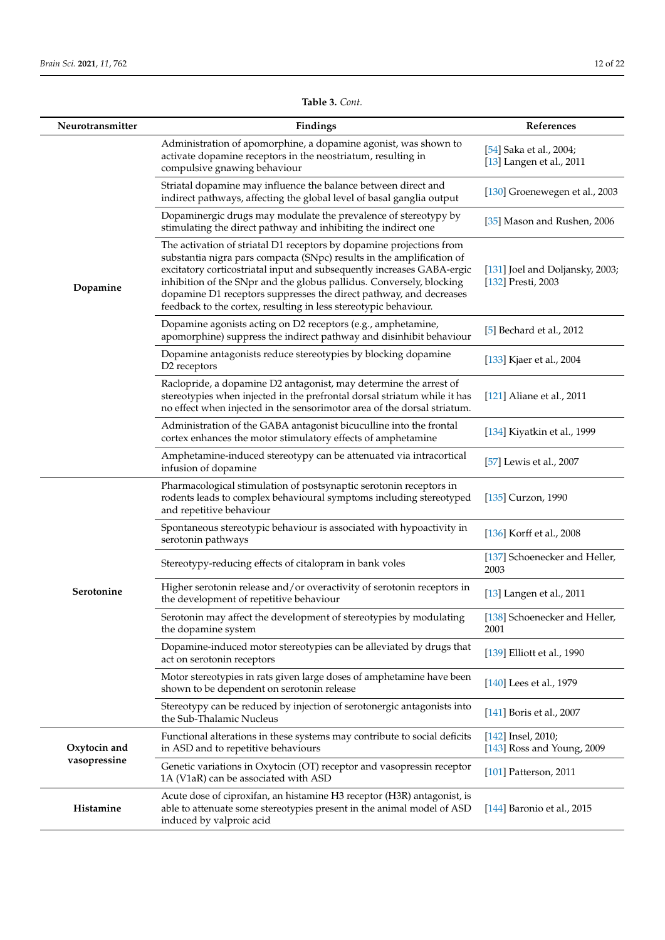| Neurotransmitter             | Findings                                                                                                                                                                                                                                                                                                                                                                                                                                  | References                                            |
|------------------------------|-------------------------------------------------------------------------------------------------------------------------------------------------------------------------------------------------------------------------------------------------------------------------------------------------------------------------------------------------------------------------------------------------------------------------------------------|-------------------------------------------------------|
| Dopamine                     | Administration of apomorphine, a dopamine agonist, was shown to<br>activate dopamine receptors in the neostriatum, resulting in<br>compulsive gnawing behaviour                                                                                                                                                                                                                                                                           | [54] Saka et al., 2004;<br>[13] Langen et al., 2011   |
|                              | Striatal dopamine may influence the balance between direct and<br>indirect pathways, affecting the global level of basal ganglia output                                                                                                                                                                                                                                                                                                   | [130] Groenewegen et al., 2003                        |
|                              | Dopaminergic drugs may modulate the prevalence of stereotypy by<br>stimulating the direct pathway and inhibiting the indirect one                                                                                                                                                                                                                                                                                                         | [35] Mason and Rushen, 2006                           |
|                              | The activation of striatal D1 receptors by dopamine projections from<br>substantia nigra pars compacta (SNpc) results in the amplification of<br>excitatory corticostriatal input and subsequently increases GABA-ergic<br>inhibition of the SNpr and the globus pallidus. Conversely, blocking<br>dopamine D1 receptors suppresses the direct pathway, and decreases<br>feedback to the cortex, resulting in less stereotypic behaviour. | [131] Joel and Doljansky, 2003;<br>[132] Presti, 2003 |
|                              | Dopamine agonists acting on D2 receptors (e.g., amphetamine,<br>apomorphine) suppress the indirect pathway and disinhibit behaviour                                                                                                                                                                                                                                                                                                       | $[5]$ Bechard et al., 2012                            |
|                              | Dopamine antagonists reduce stereotypies by blocking dopamine<br>D2 receptors                                                                                                                                                                                                                                                                                                                                                             | [133] Kjaer et al., 2004                              |
|                              | Raclopride, a dopamine D2 antagonist, may determine the arrest of<br>stereotypies when injected in the prefrontal dorsal striatum while it has<br>no effect when injected in the sensorimotor area of the dorsal striatum.                                                                                                                                                                                                                | [121] Aliane et al., 2011                             |
|                              | Administration of the GABA antagonist bicuculline into the frontal<br>cortex enhances the motor stimulatory effects of amphetamine                                                                                                                                                                                                                                                                                                        | [134] Kiyatkin et al., 1999                           |
|                              | Amphetamine-induced stereotypy can be attenuated via intracortical<br>infusion of dopamine                                                                                                                                                                                                                                                                                                                                                | [57] Lewis et al., 2007                               |
| Serotonine                   | Pharmacological stimulation of postsynaptic serotonin receptors in<br>rodents leads to complex behavioural symptoms including stereotyped<br>and repetitive behaviour                                                                                                                                                                                                                                                                     | [135] Curzon, 1990                                    |
|                              | Spontaneous stereotypic behaviour is associated with hypoactivity in<br>serotonin pathways                                                                                                                                                                                                                                                                                                                                                | [136] Korff et al., 2008                              |
|                              | Stereotypy-reducing effects of citalopram in bank voles                                                                                                                                                                                                                                                                                                                                                                                   | [137] Schoenecker and Heller,<br>2003                 |
|                              | Higher serotonin release and/or overactivity of serotonin receptors in<br>the development of repetitive behaviour                                                                                                                                                                                                                                                                                                                         | $[13]$ Langen et al., 2011                            |
|                              | Serotonin may affect the development of stereotypies by modulating<br>the dopamine system                                                                                                                                                                                                                                                                                                                                                 | [138] Schoenecker and Heller,<br>2001                 |
|                              | Dopamine-induced motor stereotypies can be alleviated by drugs that<br>act on serotonin receptors                                                                                                                                                                                                                                                                                                                                         | [139] Elliott et al., 1990                            |
|                              | Motor stereotypies in rats given large doses of amphetamine have been<br>shown to be dependent on serotonin release                                                                                                                                                                                                                                                                                                                       | [140] Lees et al., 1979                               |
|                              | Stereotypy can be reduced by injection of serotonergic antagonists into<br>the Sub-Thalamic Nucleus                                                                                                                                                                                                                                                                                                                                       | [141] Boris et al., 2007                              |
| Oxytocin and<br>vasopressine | Functional alterations in these systems may contribute to social deficits<br>in ASD and to repetitive behaviours                                                                                                                                                                                                                                                                                                                          | [142] Insel, 2010;<br>[143] Ross and Young, 2009      |
|                              | Genetic variations in Oxytocin (OT) receptor and vasopressin receptor<br>1A (V1aR) can be associated with ASD                                                                                                                                                                                                                                                                                                                             | [101] Patterson, 2011                                 |
| Histamine                    | Acute dose of ciproxifan, an histamine H3 receptor (H3R) antagonist, is<br>able to attenuate some stereotypies present in the animal model of ASD<br>induced by valproic acid                                                                                                                                                                                                                                                             | [144] Baronio et al., 2015                            |

**Table 3.** *Cont.*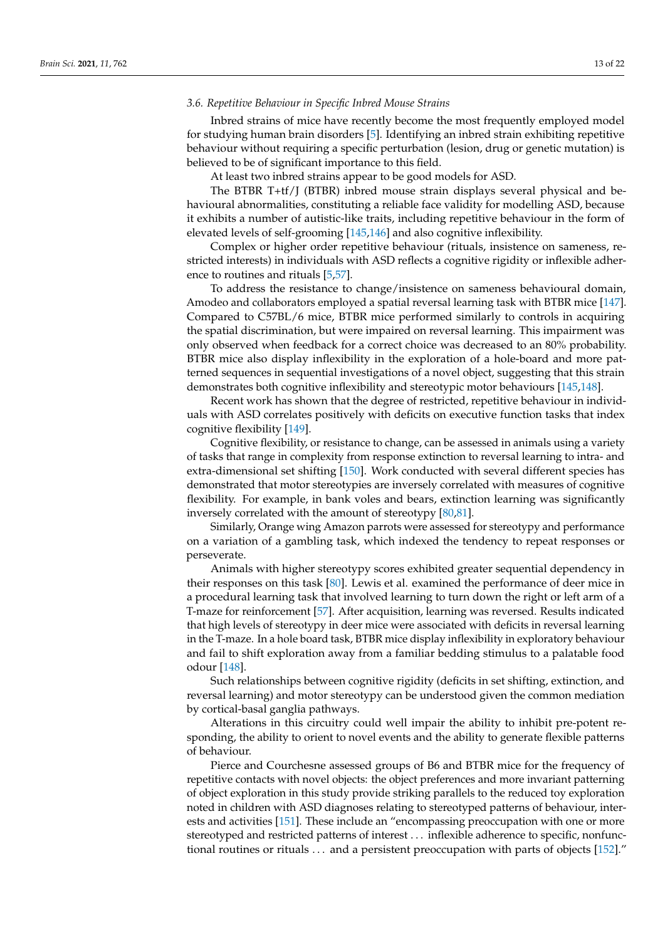## *3.6. Repetitive Behaviour in Specific Inbred Mouse Strains*

Inbred strains of mice have recently become the most frequently employed model for studying human brain disorders [\[5\]](#page-15-4). Identifying an inbred strain exhibiting repetitive behaviour without requiring a specific perturbation (lesion, drug or genetic mutation) is believed to be of significant importance to this field.

At least two inbred strains appear to be good models for ASD.

The BTBR T+tf/J (BTBR) inbred mouse strain displays several physical and behavioural abnormalities, constituting a reliable face validity for modelling ASD, because it exhibits a number of autistic-like traits, including repetitive behaviour in the form of elevated levels of self-grooming [\[145](#page-20-10)[,146\]](#page-20-11) and also cognitive inflexibility.

Complex or higher order repetitive behaviour (rituals, insistence on sameness, restricted interests) in individuals with ASD reflects a cognitive rigidity or inflexible adherence to routines and rituals [\[5,](#page-15-4)[57\]](#page-17-7).

To address the resistance to change/insistence on sameness behavioural domain, Amodeo and collaborators employed a spatial reversal learning task with BTBR mice [\[147\]](#page-20-12). Compared to C57BL/6 mice, BTBR mice performed similarly to controls in acquiring the spatial discrimination, but were impaired on reversal learning. This impairment was only observed when feedback for a correct choice was decreased to an 80% probability. BTBR mice also display inflexibility in the exploration of a hole-board and more patterned sequences in sequential investigations of a novel object, suggesting that this strain demonstrates both cognitive inflexibility and stereotypic motor behaviours [\[145](#page-20-10)[,148\]](#page-20-13).

Recent work has shown that the degree of restricted, repetitive behaviour in individuals with ASD correlates positively with deficits on executive function tasks that index cognitive flexibility [\[149\]](#page-20-14).

Cognitive flexibility, or resistance to change, can be assessed in animals using a variety of tasks that range in complexity from response extinction to reversal learning to intra- and extra-dimensional set shifting [\[150\]](#page-20-15). Work conducted with several different species has demonstrated that motor stereotypies are inversely correlated with measures of cognitive flexibility. For example, in bank voles and bears, extinction learning was significantly inversely correlated with the amount of stereotypy [\[80](#page-18-1)[,81\]](#page-18-25).

Similarly, Orange wing Amazon parrots were assessed for stereotypy and performance on a variation of a gambling task, which indexed the tendency to repeat responses or perseverate.

Animals with higher stereotypy scores exhibited greater sequential dependency in their responses on this task [\[80\]](#page-18-1). Lewis et al. examined the performance of deer mice in a procedural learning task that involved learning to turn down the right or left arm of a T-maze for reinforcement [\[57\]](#page-17-7). After acquisition, learning was reversed. Results indicated that high levels of stereotypy in deer mice were associated with deficits in reversal learning in the T-maze. In a hole board task, BTBR mice display inflexibility in exploratory behaviour and fail to shift exploration away from a familiar bedding stimulus to a palatable food odour [\[148\]](#page-20-13).

Such relationships between cognitive rigidity (deficits in set shifting, extinction, and reversal learning) and motor stereotypy can be understood given the common mediation by cortical-basal ganglia pathways.

Alterations in this circuitry could well impair the ability to inhibit pre-potent responding, the ability to orient to novel events and the ability to generate flexible patterns of behaviour.

Pierce and Courchesne assessed groups of B6 and BTBR mice for the frequency of repetitive contacts with novel objects: the object preferences and more invariant patterning of object exploration in this study provide striking parallels to the reduced toy exploration noted in children with ASD diagnoses relating to stereotyped patterns of behaviour, interests and activities [\[151\]](#page-20-16). These include an "encompassing preoccupation with one or more stereotyped and restricted patterns of interest . . . inflexible adherence to specific, nonfunctional routines or rituals . . . and a persistent preoccupation with parts of objects [\[152\]](#page-20-17)."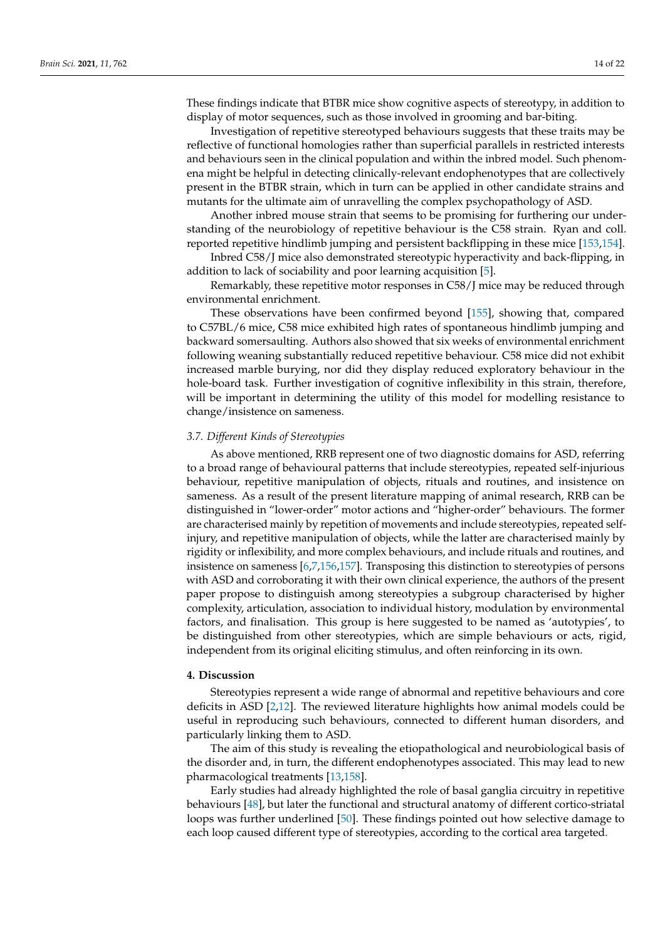These findings indicate that BTBR mice show cognitive aspects of stereotypy, in addition to display of motor sequences, such as those involved in grooming and bar-biting.

Investigation of repetitive stereotyped behaviours suggests that these traits may be reflective of functional homologies rather than superficial parallels in restricted interests and behaviours seen in the clinical population and within the inbred model. Such phenomena might be helpful in detecting clinically-relevant endophenotypes that are collectively present in the BTBR strain, which in turn can be applied in other candidate strains and mutants for the ultimate aim of unravelling the complex psychopathology of ASD.

Another inbred mouse strain that seems to be promising for furthering our understanding of the neurobiology of repetitive behaviour is the C58 strain. Ryan and coll. reported repetitive hindlimb jumping and persistent backflipping in these mice [\[153](#page-20-18)[,154\]](#page-20-19).

Inbred C58/J mice also demonstrated stereotypic hyperactivity and back-flipping, in addition to lack of sociability and poor learning acquisition [\[5\]](#page-15-4).

Remarkably, these repetitive motor responses in C58/J mice may be reduced through environmental enrichment.

These observations have been confirmed beyond [\[155\]](#page-20-20), showing that, compared to C57BL/6 mice, C58 mice exhibited high rates of spontaneous hindlimb jumping and backward somersaulting. Authors also showed that six weeks of environmental enrichment following weaning substantially reduced repetitive behaviour. C58 mice did not exhibit increased marble burying, nor did they display reduced exploratory behaviour in the hole-board task. Further investigation of cognitive inflexibility in this strain, therefore, will be important in determining the utility of this model for modelling resistance to change/insistence on sameness.

### *3.7. Different Kinds of Stereotypies*

As above mentioned, RRB represent one of two diagnostic domains for ASD, referring to a broad range of behavioural patterns that include stereotypies, repeated self-injurious behaviour, repetitive manipulation of objects, rituals and routines, and insistence on sameness. As a result of the present literature mapping of animal research, RRB can be distinguished in "lower-order" motor actions and "higher-order" behaviours. The former are characterised mainly by repetition of movements and include stereotypies, repeated selfinjury, and repetitive manipulation of objects, while the latter are characterised mainly by rigidity or inflexibility, and more complex behaviours, and include rituals and routines, and insistence on sameness [\[6,](#page-15-5)[7,](#page-15-6)[156,](#page-20-21)[157\]](#page-20-22). Transposing this distinction to stereotypies of persons with ASD and corroborating it with their own clinical experience, the authors of the present paper propose to distinguish among stereotypies a subgroup characterised by higher complexity, articulation, association to individual history, modulation by environmental factors, and finalisation. This group is here suggested to be named as 'autotypies', to be distinguished from other stereotypies, which are simple behaviours or acts, rigid, independent from its original eliciting stimulus, and often reinforcing in its own.

### **4. Discussion**

Stereotypies represent a wide range of abnormal and repetitive behaviours and core deficits in ASD [\[2](#page-15-1)[,12\]](#page-15-10). The reviewed literature highlights how animal models could be useful in reproducing such behaviours, connected to different human disorders, and particularly linking them to ASD.

The aim of this study is revealing the etiopathological and neurobiological basis of the disorder and, in turn, the different endophenotypes associated. This may lead to new pharmacological treatments [\[13](#page-15-11)[,158\]](#page-20-23).

Early studies had already highlighted the role of basal ganglia circuitry in repetitive behaviours [\[48\]](#page-16-28), but later the functional and structural anatomy of different cortico-striatal loops was further underlined [\[50\]](#page-17-0). These findings pointed out how selective damage to each loop caused different type of stereotypies, according to the cortical area targeted.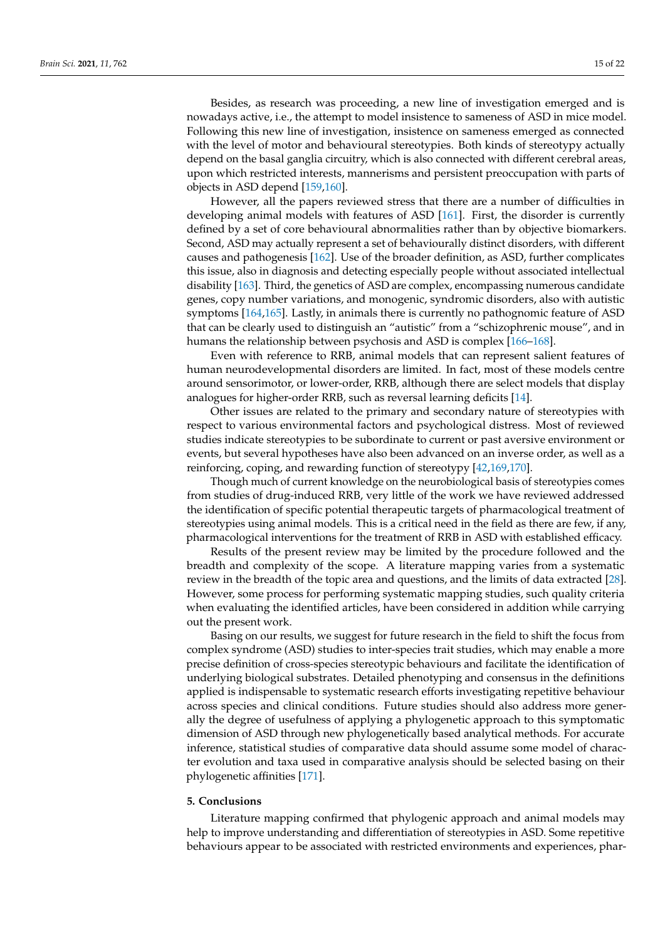Besides, as research was proceeding, a new line of investigation emerged and is nowadays active, i.e., the attempt to model insistence to sameness of ASD in mice model. Following this new line of investigation, insistence on sameness emerged as connected with the level of motor and behavioural stereotypies. Both kinds of stereotypy actually depend on the basal ganglia circuitry, which is also connected with different cerebral areas, upon which restricted interests, mannerisms and persistent preoccupation with parts of objects in ASD depend [\[159](#page-20-24)[,160\]](#page-20-25).

However, all the papers reviewed stress that there are a number of difficulties in developing animal models with features of ASD [\[161\]](#page-20-26). First, the disorder is currently defined by a set of core behavioural abnormalities rather than by objective biomarkers. Second, ASD may actually represent a set of behaviourally distinct disorders, with different causes and pathogenesis [\[162\]](#page-20-27). Use of the broader definition, as ASD, further complicates this issue, also in diagnosis and detecting especially people without associated intellectual disability [\[163\]](#page-21-0). Third, the genetics of ASD are complex, encompassing numerous candidate genes, copy number variations, and monogenic, syndromic disorders, also with autistic symptoms [\[164,](#page-21-1)[165\]](#page-21-2). Lastly, in animals there is currently no pathognomic feature of ASD that can be clearly used to distinguish an "autistic" from a "schizophrenic mouse", and in humans the relationship between psychosis and ASD is complex [\[166](#page-21-3)[–168\]](#page-21-4).

Even with reference to RRB, animal models that can represent salient features of human neurodevelopmental disorders are limited. In fact, most of these models centre around sensorimotor, or lower-order, RRB, although there are select models that display analogues for higher-order RRB, such as reversal learning deficits [\[14\]](#page-15-12).

Other issues are related to the primary and secondary nature of stereotypies with respect to various environmental factors and psychological distress. Most of reviewed studies indicate stereotypies to be subordinate to current or past aversive environment or events, but several hypotheses have also been advanced on an inverse order, as well as a reinforcing, coping, and rewarding function of stereotypy [\[42](#page-16-22)[,169](#page-21-5)[,170\]](#page-21-6).

Though much of current knowledge on the neurobiological basis of stereotypies comes from studies of drug-induced RRB, very little of the work we have reviewed addressed the identification of specific potential therapeutic targets of pharmacological treatment of stereotypies using animal models. This is a critical need in the field as there are few, if any, pharmacological interventions for the treatment of RRB in ASD with established efficacy.

Results of the present review may be limited by the procedure followed and the breadth and complexity of the scope. A literature mapping varies from a systematic review in the breadth of the topic area and questions, and the limits of data extracted [\[28\]](#page-16-10). However, some process for performing systematic mapping studies, such quality criteria when evaluating the identified articles, have been considered in addition while carrying out the present work.

Basing on our results, we suggest for future research in the field to shift the focus from complex syndrome (ASD) studies to inter-species trait studies, which may enable a more precise definition of cross-species stereotypic behaviours and facilitate the identification of underlying biological substrates. Detailed phenotyping and consensus in the definitions applied is indispensable to systematic research efforts investigating repetitive behaviour across species and clinical conditions. Future studies should also address more generally the degree of usefulness of applying a phylogenetic approach to this symptomatic dimension of ASD through new phylogenetically based analytical methods. For accurate inference, statistical studies of comparative data should assume some model of character evolution and taxa used in comparative analysis should be selected basing on their phylogenetic affinities [\[171\]](#page-21-7).

## **5. Conclusions**

Literature mapping confirmed that phylogenic approach and animal models may help to improve understanding and differentiation of stereotypies in ASD. Some repetitive behaviours appear to be associated with restricted environments and experiences, phar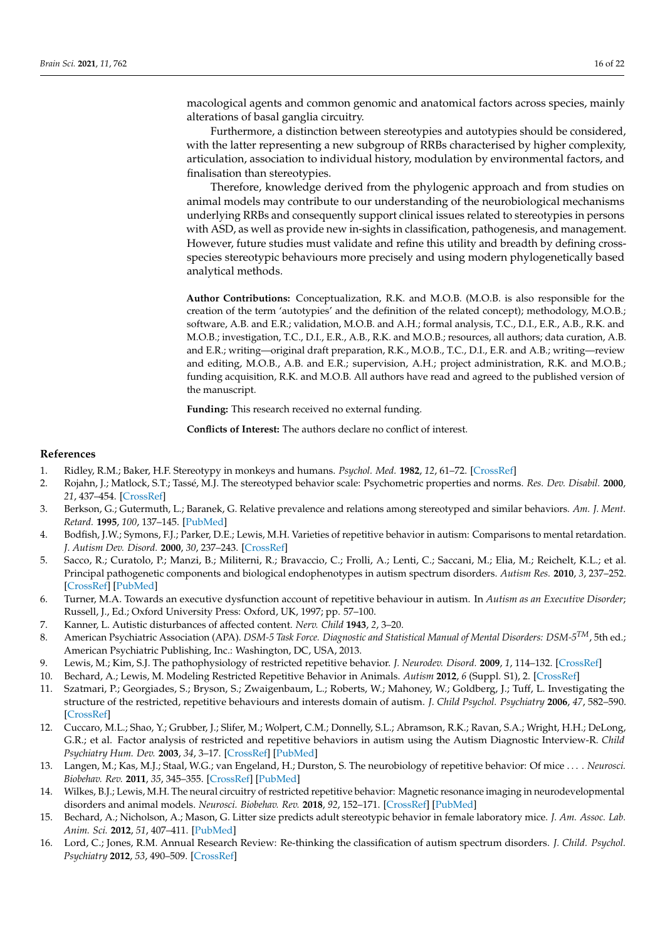macological agents and common genomic and anatomical factors across species, mainly alterations of basal ganglia circuitry.

Furthermore, a distinction between stereotypies and autotypies should be considered, with the latter representing a new subgroup of RRBs characterised by higher complexity, articulation, association to individual history, modulation by environmental factors, and finalisation than stereotypies.

Therefore, knowledge derived from the phylogenic approach and from studies on animal models may contribute to our understanding of the neurobiological mechanisms underlying RRBs and consequently support clinical issues related to stereotypies in persons with ASD, as well as provide new in-sights in classification, pathogenesis, and management. However, future studies must validate and refine this utility and breadth by defining crossspecies stereotypic behaviours more precisely and using modern phylogenetically based analytical methods.

**Author Contributions:** Conceptualization, R.K. and M.O.B. (M.O.B. is also responsible for the creation of the term 'autotypies' and the definition of the related concept); methodology, M.O.B.; software, A.B. and E.R.; validation, M.O.B. and A.H.; formal analysis, T.C., D.I., E.R., A.B., R.K. and M.O.B.; investigation, T.C., D.I., E.R., A.B., R.K. and M.O.B.; resources, all authors; data curation, A.B. and E.R.; writing—original draft preparation, R.K., M.O.B., T.C., D.I., E.R. and A.B.; writing—review and editing, M.O.B., A.B. and E.R.; supervision, A.H.; project administration, R.K. and M.O.B.; funding acquisition, R.K. and M.O.B. All authors have read and agreed to the published version of the manuscript.

**Funding:** This research received no external funding.

**Conflicts of Interest:** The authors declare no conflict of interest.

### **References**

- <span id="page-15-0"></span>1. Ridley, R.M.; Baker, H.F. Stereotypy in monkeys and humans. *Psychol. Med.* **1982**, *12*, 61–72. [\[CrossRef\]](http://doi.org/10.1017/S0033291700043294)
- <span id="page-15-1"></span>2. Rojahn, J.; Matlock, S.T.; Tassé, M.J. The stereotyped behavior scale: Psychometric properties and norms. *Res. Dev. Disabil.* **2000**, *21*, 437–454. [\[CrossRef\]](http://doi.org/10.1016/S0891-4222(00)00057-3)
- <span id="page-15-2"></span>3. Berkson, G.; Gutermuth, L.; Baranek, G. Relative prevalence and relations among stereotyped and similar behaviors. *Am. J. Ment. Retard.* **1995**, *100*, 137–145. [\[PubMed\]](http://www.ncbi.nlm.nih.gov/pubmed/8527110)
- <span id="page-15-3"></span>4. Bodfish, J.W.; Symons, F.J.; Parker, D.E.; Lewis, M.H. Varieties of repetitive behavior in autism: Comparisons to mental retardation. *J. Autism Dev. Disord.* **2000**, *30*, 237–243. [\[CrossRef\]](http://doi.org/10.1023/A:1005596502855)
- <span id="page-15-4"></span>5. Sacco, R.; Curatolo, P.; Manzi, B.; Militerni, R.; Bravaccio, C.; Frolli, A.; Lenti, C.; Saccani, M.; Elia, M.; Reichelt, K.L.; et al. Principal pathogenetic components and biological endophenotypes in autism spectrum disorders. *Autism Res.* **2010**, *3*, 237–252. [\[CrossRef\]](http://doi.org/10.1002/aur.151) [\[PubMed\]](http://www.ncbi.nlm.nih.gov/pubmed/20878720)
- <span id="page-15-5"></span>6. Turner, M.A. Towards an executive dysfunction account of repetitive behaviour in autism. In *Autism as an Executive Disorder*; Russell, J., Ed.; Oxford University Press: Oxford, UK, 1997; pp. 57–100.
- <span id="page-15-6"></span>7. Kanner, L. Autistic disturbances of affected content. *Nerv. Child* **1943**, *2*, 3–20.
- <span id="page-15-7"></span>8. American Psychiatric Association (APA). *DSM-5 Task Force. Diagnostic and Statistical Manual of Mental Disorders: DSM-5TM*, 5th ed.; American Psychiatric Publishing, Inc.: Washington, DC, USA, 2013.
- <span id="page-15-8"></span>9. Lewis, M.; Kim, S.J. The pathophysiology of restricted repetitive behavior. *J. Neurodev. Disord.* **2009**, *1*, 114–132. [\[CrossRef\]](http://doi.org/10.1007/s11689-009-9019-6)
- <span id="page-15-9"></span>10. Bechard, A.; Lewis, M. Modeling Restricted Repetitive Behavior in Animals. *Autism* **2012**, *6* (Suppl. S1), 2. [\[CrossRef\]](http://doi.org/10.4172/2165-7890.S1-006)
- <span id="page-15-13"></span>11. Szatmari, P.; Georgiades, S.; Bryson, S.; Zwaigenbaum, L.; Roberts, W.; Mahoney, W.; Goldberg, J.; Tuff, L. Investigating the structure of the restricted, repetitive behaviours and interests domain of autism. *J. Child Psychol. Psychiatry* **2006**, *47*, 582–590. [\[CrossRef\]](http://doi.org/10.1111/j.1469-7610.2005.01537.x)
- <span id="page-15-10"></span>12. Cuccaro, M.L.; Shao, Y.; Grubber, J.; Slifer, M.; Wolpert, C.M.; Donnelly, S.L.; Abramson, R.K.; Ravan, S.A.; Wright, H.H.; DeLong, G.R.; et al. Factor analysis of restricted and repetitive behaviors in autism using the Autism Diagnostic Interview-R. *Child Psychiatry Hum. Dev.* **2003**, *34*, 3–17. [\[CrossRef\]](http://doi.org/10.1023/A:1025321707947) [\[PubMed\]](http://www.ncbi.nlm.nih.gov/pubmed/14518620)
- <span id="page-15-11"></span>13. Langen, M.; Kas, M.J.; Staal, W.G.; van Engeland, H.; Durston, S. The neurobiology of repetitive behavior: Of mice . . . . *Neurosci. Biobehav. Rev.* **2011**, *35*, 345–355. [\[CrossRef\]](http://doi.org/10.1016/j.neubiorev.2010.02.004) [\[PubMed\]](http://www.ncbi.nlm.nih.gov/pubmed/20156480)
- <span id="page-15-12"></span>14. Wilkes, B.J.; Lewis, M.H. The neural circuitry of restricted repetitive behavior: Magnetic resonance imaging in neurodevelopmental disorders and animal models. *Neurosci. Biobehav. Rev.* **2018**, *92*, 152–171. [\[CrossRef\]](http://doi.org/10.1016/j.neubiorev.2018.05.022) [\[PubMed\]](http://www.ncbi.nlm.nih.gov/pubmed/29802854)
- <span id="page-15-14"></span>15. Bechard, A.; Nicholson, A.; Mason, G. Litter size predicts adult stereotypic behavior in female laboratory mice. *J. Am. Assoc. Lab. Anim. Sci.* **2012**, *51*, 407–411. [\[PubMed\]](http://www.ncbi.nlm.nih.gov/pubmed/23043805)
- <span id="page-15-15"></span>16. Lord, C.; Jones, R.M. Annual Research Review: Re-thinking the classification of autism spectrum disorders. *J. Child. Psychol. Psychiatry* **2012**, *53*, 490–509. [\[CrossRef\]](http://doi.org/10.1111/j.1469-7610.2012.02547.x)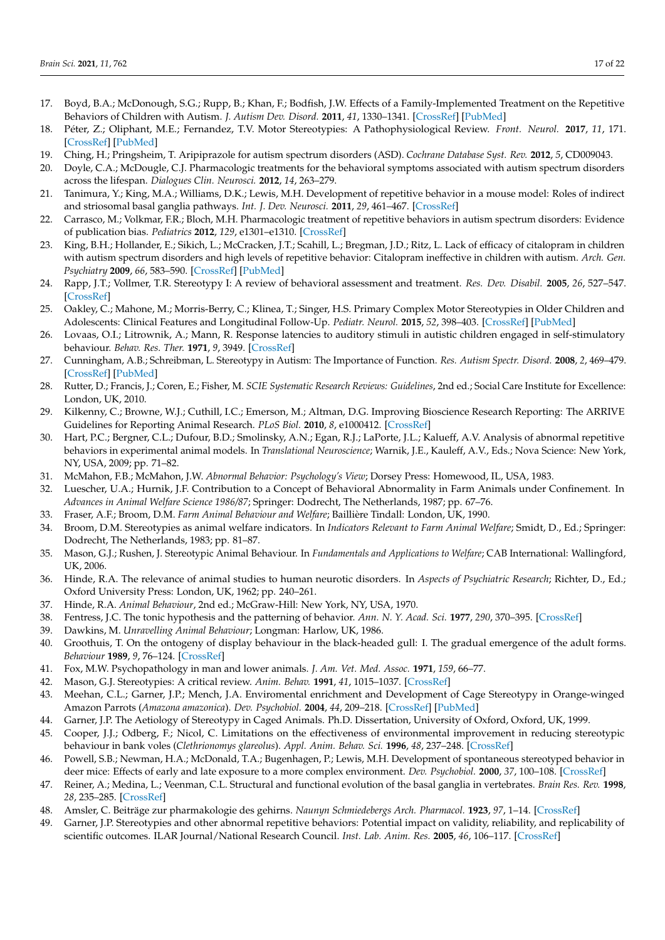- <span id="page-16-0"></span>17. Boyd, B.A.; McDonough, S.G.; Rupp, B.; Khan, F.; Bodfish, J.W. Effects of a Family-Implemented Treatment on the Repetitive Behaviors of Children with Autism. *J. Autism Dev. Disord.* **2011**, *41*, 1330–1341. [\[CrossRef\]](http://doi.org/10.1007/s10803-010-1156-y) [\[PubMed\]](http://www.ncbi.nlm.nih.gov/pubmed/21161576)
- <span id="page-16-1"></span>18. Péter, Z.; Oliphant, M.E.; Fernandez, T.V. Motor Stereotypies: A Pathophysiological Review. *Front. Neurol.* **2017**, *11*, 171. [\[CrossRef\]](http://doi.org/10.3389/fnins.2017.00171) [\[PubMed\]](http://www.ncbi.nlm.nih.gov/pubmed/28405185)
- 19. Ching, H.; Pringsheim, T. Aripiprazole for autism spectrum disorders (ASD). *Cochrane Database Syst. Rev.* **2012**, *5*, CD009043.
- <span id="page-16-2"></span>20. Doyle, C.A.; McDougle, C.J. Pharmacologic treatments for the behavioral symptoms associated with autism spectrum disorders across the lifespan. *Dialogues Clin. Neurosci.* **2012**, *14*, 263–279.
- <span id="page-16-3"></span>21. Tanimura, Y.; King, M.A.; Williams, D.K.; Lewis, M.H. Development of repetitive behavior in a mouse model: Roles of indirect and striosomal basal ganglia pathways. *Int. J. Dev. Neurosci.* **2011**, *29*, 461–467. [\[CrossRef\]](http://doi.org/10.1016/j.ijdevneu.2011.02.004)
- <span id="page-16-4"></span>22. Carrasco, M.; Volkmar, F.R.; Bloch, M.H. Pharmacologic treatment of repetitive behaviors in autism spectrum disorders: Evidence of publication bias. *Pediatrics* **2012**, *129*, e1301–e1310. [\[CrossRef\]](http://doi.org/10.1542/peds.2011-3285)
- <span id="page-16-5"></span>23. King, B.H.; Hollander, E.; Sikich, L.; McCracken, J.T.; Scahill, L.; Bregman, J.D.; Ritz, L. Lack of efficacy of citalopram in children with autism spectrum disorders and high levels of repetitive behavior: Citalopram ineffective in children with autism. *Arch. Gen. Psychiatry* **2009**, *66*, 583–590. [\[CrossRef\]](http://doi.org/10.1001/archgenpsychiatry.2009.30) [\[PubMed\]](http://www.ncbi.nlm.nih.gov/pubmed/19487623)
- <span id="page-16-6"></span>24. Rapp, J.T.; Vollmer, T.R. Stereotypy I: A review of behavioral assessment and treatment. *Res. Dev. Disabil.* **2005**, *26*, 527–547. [\[CrossRef\]](http://doi.org/10.1016/j.ridd.2004.11.005)
- <span id="page-16-7"></span>25. Oakley, C.; Mahone, M.; Morris-Berry, C.; Klinea, T.; Singer, H.S. Primary Complex Motor Stereotypies in Older Children and Adolescents: Clinical Features and Longitudinal Follow-Up. *Pediatr. Neurol.* **2015**, *52*, 398–403. [\[CrossRef\]](http://doi.org/10.1016/j.pediatrneurol.2014.11.002) [\[PubMed\]](http://www.ncbi.nlm.nih.gov/pubmed/25661287)
- <span id="page-16-8"></span>26. Lovaas, O.I.; Litrownik, A.; Mann, R. Response latencies to auditory stimuli in autistic children engaged in self-stimulatory behaviour. *Behav. Res. Ther.* **1971**, *9*, 3949. [\[CrossRef\]](http://doi.org/10.1016/0005-7967(71)90035-0)
- <span id="page-16-9"></span>27. Cunningham, A.B.; Schreibman, L. Stereotypy in Autism: The Importance of Function. *Res. Autism Spectr. Disord.* **2008**, *2*, 469–479. [\[CrossRef\]](http://doi.org/10.1016/j.rasd.2007.09.006) [\[PubMed\]](http://www.ncbi.nlm.nih.gov/pubmed/19122856)
- <span id="page-16-10"></span>28. Rutter, D.; Francis, J.; Coren, E.; Fisher, M. *SCIE Systematic Research Reviews: Guidelines*, 2nd ed.; Social Care Institute for Excellence: London, UK, 2010.
- <span id="page-16-11"></span>29. Kilkenny, C.; Browne, W.J.; Cuthill, I.C.; Emerson, M.; Altman, D.G. Improving Bioscience Research Reporting: The ARRIVE Guidelines for Reporting Animal Research. *PLoS Biol.* **2010**, *8*, e1000412. [\[CrossRef\]](http://doi.org/10.1371/journal.pbio.1000412)
- <span id="page-16-12"></span>30. Hart, P.C.; Bergner, C.L.; Dufour, B.D.; Smolinsky, A.N.; Egan, R.J.; LaPorte, J.L.; Kalueff, A.V. Analysis of abnormal repetitive behaviors in experimental animal models. In *Translational Neuroscience*; Warnik, J.E., Kauleff, A.V., Eds.; Nova Science: New York, NY, USA, 2009; pp. 71–82.
- <span id="page-16-13"></span>31. McMahon, F.B.; McMahon, J.W. *Abnormal Behavior: Psychology's View*; Dorsey Press: Homewood, IL, USA, 1983.
- <span id="page-16-14"></span>32. Luescher, U.A.; Hurnik, J.F. Contribution to a Concept of Behavioral Abnormality in Farm Animals under Confinement. In *Advances in Animal Welfare Science 1986/87*; Springer: Dodrecht, The Netherlands, 1987; pp. 67–76.
- <span id="page-16-15"></span>33. Fraser, A.F.; Broom, D.M. *Farm Animal Behaviour and Welfare*; Baillière Tindall: London, UK, 1990.
- <span id="page-16-16"></span>34. Broom, D.M. Stereotypies as animal welfare indicators. In *Indicators Relevant to Farm Animal Welfare*; Smidt, D., Ed.; Springer: Dodrecht, The Netherlands, 1983; pp. 81–87.
- <span id="page-16-17"></span>35. Mason, G.J.; Rushen, J. Stereotypic Animal Behaviour. In *Fundamentals and Applications to Welfare*; CAB International: Wallingford, UK, 2006.
- <span id="page-16-18"></span>36. Hinde, R.A. The relevance of animal studies to human neurotic disorders. In *Aspects of Psychiatric Research*; Richter, D., Ed.; Oxford University Press: London, UK, 1962; pp. 240–261.
- <span id="page-16-19"></span>37. Hinde, R.A. *Animal Behaviour*, 2nd ed.; McGraw-Hill: New York, NY, USA, 1970.
- 38. Fentress, J.C. The tonic hypothesis and the patterning of behavior. *Ann. N. Y. Acad. Sci.* **1977**, *290*, 370–395. [\[CrossRef\]](http://doi.org/10.1111/j.1749-6632.1977.tb39739.x)
- 39. Dawkins, M. *Unravelling Animal Behaviour*; Longman: Harlow, UK, 1986.
- <span id="page-16-20"></span>40. Groothuis, T. On the ontogeny of display behaviour in the black-headed gull: I. The gradual emergence of the adult forms. *Behaviour* **1989**, *9*, 76–124. [\[CrossRef\]](http://doi.org/10.1163/156853989X00178)
- <span id="page-16-21"></span>41. Fox, M.W. Psychopathology in man and lower animals. *J. Am. Vet. Med. Assoc.* **1971**, *159*, 66–77.
- <span id="page-16-22"></span>42. Mason, G.J. Stereotypies: A critical review. *Anim. Behav.* **1991**, *41*, 1015–1037. [\[CrossRef\]](http://doi.org/10.1016/S0003-3472(05)80640-2)
- <span id="page-16-23"></span>43. Meehan, C.L.; Garner, J.P.; Mench, J.A. Enviromental enrichment and Development of Cage Stereotypy in Orange-winged Amazon Parrots (*Amazona amazonica*). *Dev. Psychobiol.* **2004**, *44*, 209–218. [\[CrossRef\]](http://doi.org/10.1002/dev.20007) [\[PubMed\]](http://www.ncbi.nlm.nih.gov/pubmed/15103731)
- <span id="page-16-24"></span>44. Garner, J.P. The Aetiology of Stereotypy in Caged Animals. Ph.D. Dissertation, University of Oxford, Oxford, UK, 1999.
- <span id="page-16-25"></span>45. Cooper, J.J.; Odberg, F.; Nicol, C. Limitations on the effectiveness of environmental improvement in reducing stereotypic behaviour in bank voles (*Clethrionomys glareolus*). *Appl. Anim. Behav. Sci.* **1996**, *48*, 237–248. [\[CrossRef\]](http://doi.org/10.1016/0168-1591(95)01020-3)
- <span id="page-16-26"></span>46. Powell, S.B.; Newman, H.A.; McDonald, T.A.; Bugenhagen, P.; Lewis, M.H. Development of spontaneous stereotyped behavior in deer mice: Effects of early and late exposure to a more complex environment. *Dev. Psychobiol.* **2000**, *37*, 100–108. [\[CrossRef\]](http://doi.org/10.1002/1098-2302(200009)37:2<100::AID-DEV5>3.0.CO;2-6)
- <span id="page-16-27"></span>47. Reiner, A.; Medina, L.; Veenman, C.L. Structural and functional evolution of the basal ganglia in vertebrates. *Brain Res. Rev.* **1998**, *28*, 235–285. [\[CrossRef\]](http://doi.org/10.1016/S0165-0173(98)00016-2)
- <span id="page-16-28"></span>48. Amsler, C. Beiträge zur pharmakologie des gehirns. *Naunyn Schmiedebergs Arch. Pharmacol.* **1923**, *97*, 1–14. [\[CrossRef\]](http://doi.org/10.1007/BF01931301)
- <span id="page-16-29"></span>49. Garner, J.P. Stereotypies and other abnormal repetitive behaviors: Potential impact on validity, reliability, and replicability of scientific outcomes. ILAR Journal/National Research Council. *Inst. Lab. Anim. Res.* **2005**, *46*, 106–117. [\[CrossRef\]](http://doi.org/10.1093/ilar.46.2.106)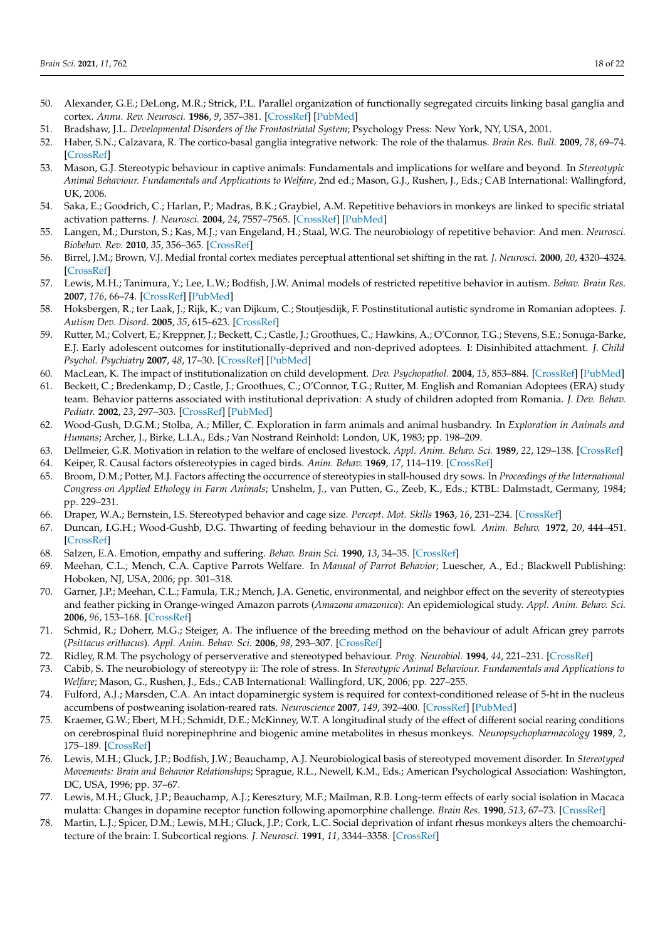- <span id="page-17-0"></span>50. Alexander, G.E.; DeLong, M.R.; Strick, P.L. Parallel organization of functionally segregated circuits linking basal ganglia and cortex. *Annu. Rev. Neurosci.* **1986**, *9*, 357–381. [\[CrossRef\]](http://doi.org/10.1146/annurev.ne.09.030186.002041) [\[PubMed\]](http://www.ncbi.nlm.nih.gov/pubmed/3085570)
- <span id="page-17-1"></span>51. Bradshaw, J.L. *Developmental Disorders of the Frontostriatal System*; Psychology Press: New York, NY, USA, 2001.
- <span id="page-17-2"></span>52. Haber, S.N.; Calzavara, R. The cortico-basal ganglia integrative network: The role of the thalamus. *Brain Res. Bull.* **2009**, *78*, 69–74. [\[CrossRef\]](http://doi.org/10.1016/j.brainresbull.2008.09.013)
- <span id="page-17-3"></span>53. Mason, G.J. Stereotypic behaviour in captive animals: Fundamentals and implications for welfare and beyond. In *Stereotypic Animal Behaviour. Fundamentals and Applications to Welfare*, 2nd ed.; Mason, G.J., Rushen, J., Eds.; CAB International: Wallingford, UK, 2006.
- <span id="page-17-4"></span>54. Saka, E.; Goodrich, C.; Harlan, P.; Madras, B.K.; Graybiel, A.M. Repetitive behaviors in monkeys are linked to specific striatal activation patterns. *J. Neurosci.* **2004**, *24*, 7557–7565. [\[CrossRef\]](http://doi.org/10.1523/JNEUROSCI.1072-04.2004) [\[PubMed\]](http://www.ncbi.nlm.nih.gov/pubmed/15329403)
- <span id="page-17-5"></span>55. Langen, M.; Durston, S.; Kas, M.J.; van Engeland, H.; Staal, W.G. The neurobiology of repetitive behavior: And men. *Neurosci. Biobehav. Rev.* **2010**, *35*, 356–365. [\[CrossRef\]](http://doi.org/10.1016/j.neubiorev.2010.02.005)
- <span id="page-17-6"></span>56. Birrel, J.M.; Brown, V.J. Medial frontal cortex mediates perceptual attentional set shifting in the rat. *J. Neurosci.* **2000**, *20*, 4320–4324. [\[CrossRef\]](http://doi.org/10.1523/JNEUROSCI.20-11-04320.2000)
- <span id="page-17-7"></span>57. Lewis, M.H.; Tanimura, Y.; Lee, L.W.; Bodfish, J.W. Animal models of restricted repetitive behavior in autism. *Behav. Brain Res.* **2007**, *176*, 66–74. [\[CrossRef\]](http://doi.org/10.1016/j.bbr.2006.08.023) [\[PubMed\]](http://www.ncbi.nlm.nih.gov/pubmed/16997392)
- <span id="page-17-8"></span>58. Hoksbergen, R.; ter Laak, J.; Rijk, K.; van Dijkum, C.; Stoutjesdijk, F. Postinstitutional autistic syndrome in Romanian adoptees. *J. Autism Dev. Disord.* **2005**, *35*, 615–623. [\[CrossRef\]](http://doi.org/10.1007/s10803-005-0005-x)
- <span id="page-17-9"></span>59. Rutter, M.; Colvert, E.; Kreppner, J.; Beckett, C.; Castle, J.; Groothues, C.; Hawkins, A.; O'Connor, T.G.; Stevens, S.E.; Sonuga-Barke, E.J. Early adolescent outcomes for institutionally-deprived and non-deprived adoptees. I: Disinhibited attachment. *J. Child Psychol. Psychiatry* **2007**, *48*, 17–30. [\[CrossRef\]](http://doi.org/10.1111/j.1469-7610.2006.01688.x) [\[PubMed\]](http://www.ncbi.nlm.nih.gov/pubmed/17244267)
- <span id="page-17-10"></span>60. MacLean, K. The impact of institutionalization on child development. *Dev. Psychopathol.* **2004**, *15*, 853–884. [\[CrossRef\]](http://doi.org/10.1017/S0954579403000415) [\[PubMed\]](http://www.ncbi.nlm.nih.gov/pubmed/14984130)
- <span id="page-17-11"></span>61. Beckett, C.; Bredenkamp, D.; Castle, J.; Groothues, C.; O'Connor, T.G.; Rutter, M. English and Romanian Adoptees (ERA) study team. Behavior patterns associated with institutional deprivation: A study of children adopted from Romania. *J. Dev. Behav. Pediatr.* **2002**, *23*, 297–303. [\[CrossRef\]](http://doi.org/10.1097/00004703-200210000-00001) [\[PubMed\]](http://www.ncbi.nlm.nih.gov/pubmed/12394517)
- <span id="page-17-12"></span>62. Wood-Gush, D.G.M.; Stolba, A.; Miller, C. Exploration in farm animals and animal husbandry. In *Exploration in Animals and Humans*; Archer, J., Birke, L.I.A., Eds.; Van Nostrand Reinhold: London, UK, 1983; pp. 198–209.
- <span id="page-17-13"></span>63. Dellmeier, G.R. Motivation in relation to the welfare of enclosed livestock. *Appl. Anim. Behav. Sci.* **1989**, *22*, 129–138. [\[CrossRef\]](http://doi.org/10.1016/0168-1591(89)90049-X)
- <span id="page-17-14"></span>64. Keiper, R. Causal factors ofstereotypies in caged birds. *Anim. Behav.* **1969**, *17*, 114–119. [\[CrossRef\]](http://doi.org/10.1016/0003-3472(69)90119-5)
- <span id="page-17-15"></span>65. Broom, D.M.; Potter, M.J. Factors affecting the occurrence of stereotypies in stall-housed dry sows. In *Proceedings of the International Congress on Applied Ethology in Farm Animals*; Unshelm, J., van Putten, G., Zeeb, K., Eds.; KTBL: Dalmstadt, Germany, 1984; pp. 229–231.
- <span id="page-17-16"></span>66. Draper, W.A.; Bernstein, I.S. Stereotyped behavior and cage size. *Percept. Mot. Skills* **1963**, *16*, 231–234. [\[CrossRef\]](http://doi.org/10.2466/pms.1963.16.1.231)
- <span id="page-17-17"></span>67. Duncan, I.G.H.; Wood-Gushb, D.G. Thwarting of feeding behaviour in the domestic fowl. *Anim. Behav.* **1972**, *20*, 444–451. [\[CrossRef\]](http://doi.org/10.1016/S0003-3472(72)80007-1)
- <span id="page-17-18"></span>68. Salzen, E.A. Emotion, empathy and suffering. *Behav. Brain Sci.* **1990**, *13*, 34–35. [\[CrossRef\]](http://doi.org/10.1017/S0140525X00077402)
- <span id="page-17-19"></span>69. Meehan, C.L.; Mench, C.A. Captive Parrots Welfare. In *Manual of Parrot Behavior*; Luescher, A., Ed.; Blackwell Publishing: Hoboken, NJ, USA, 2006; pp. 301–318.
- <span id="page-17-20"></span>70. Garner, J.P.; Meehan, C.L.; Famula, T.R.; Mench, J.A. Genetic, environmental, and neighbor effect on the severity of stereotypies and feather picking in Orange-winged Amazon parrots (*Amazona amazonica*): An epidemiological study. *Appl. Anim. Behav. Sci.* **2006**, *96*, 153–168. [\[CrossRef\]](http://doi.org/10.1016/j.applanim.2005.09.009)
- <span id="page-17-21"></span>71. Schmid, R.; Doherr, M.G.; Steiger, A. The influence of the breeding method on the behaviour of adult African grey parrots (*Psittacus erithacus*). *Appl. Anim. Behav. Sci.* **2006**, *98*, 293–307. [\[CrossRef\]](http://doi.org/10.1016/j.applanim.2005.09.002)
- <span id="page-17-22"></span>72. Ridley, R.M. The psychology of perserverative and stereotyped behaviour. *Prog. Neurobiol.* **1994**, *44*, 221–231. [\[CrossRef\]](http://doi.org/10.1016/0301-0082(94)90039-6)
- <span id="page-17-23"></span>73. Cabib, S. The neurobiology of stereotypy ii: The role of stress. In *Stereotypic Animal Behaviour. Fundamentals and Applications to Welfare*; Mason, G., Rushen, J., Eds.; CAB International: Wallingford, UK, 2006; pp. 227–255.
- <span id="page-17-24"></span>74. Fulford, A.J.; Marsden, C.A. An intact dopaminergic system is required for context-conditioned release of 5-ht in the nucleus accumbens of postweaning isolation-reared rats. *Neuroscience* **2007**, *149*, 392–400. [\[CrossRef\]](http://doi.org/10.1016/j.neuroscience.2007.08.002) [\[PubMed\]](http://www.ncbi.nlm.nih.gov/pubmed/17869434)
- <span id="page-17-25"></span>75. Kraemer, G.W.; Ebert, M.H.; Schmidt, D.E.; McKinney, W.T. A longitudinal study of the effect of different social rearing conditions on cerebrospinal fluid norepinephrine and biogenic amine metabolites in rhesus monkeys. *Neuropsychopharmacology* **1989**, *2*, 175–189. [\[CrossRef\]](http://doi.org/10.1016/0893-133X(89)90021-3)
- 76. Lewis, M.H.; Gluck, J.P.; Bodfish, J.W.; Beauchamp, A.J. Neurobiological basis of stereotyped movement disorder. In *Stereotyped Movements: Brain and Behavior Relationships*; Sprague, R.L., Newell, K.M., Eds.; American Psychological Association: Washington, DC, USA, 1996; pp. 37–67.
- 77. Lewis, M.H.; Gluck, J.P.; Beauchamp, A.J.; Keresztury, M.F.; Mailman, R.B. Long-term effects of early social isolation in Macaca mulatta: Changes in dopamine receptor function following apomorphine challenge. *Brain Res.* **1990**, *513*, 67–73. [\[CrossRef\]](http://doi.org/10.1016/0006-8993(90)91089-Y)
- <span id="page-17-26"></span>78. Martin, L.J.; Spicer, D.M.; Lewis, M.H.; Gluck, J.P.; Cork, L.C. Social deprivation of infant rhesus monkeys alters the chemoarchitecture of the brain: I. Subcortical regions. *J. Neurosci.* **1991**, *11*, 3344–3358. [\[CrossRef\]](http://doi.org/10.1523/JNEUROSCI.11-11-03344.1991)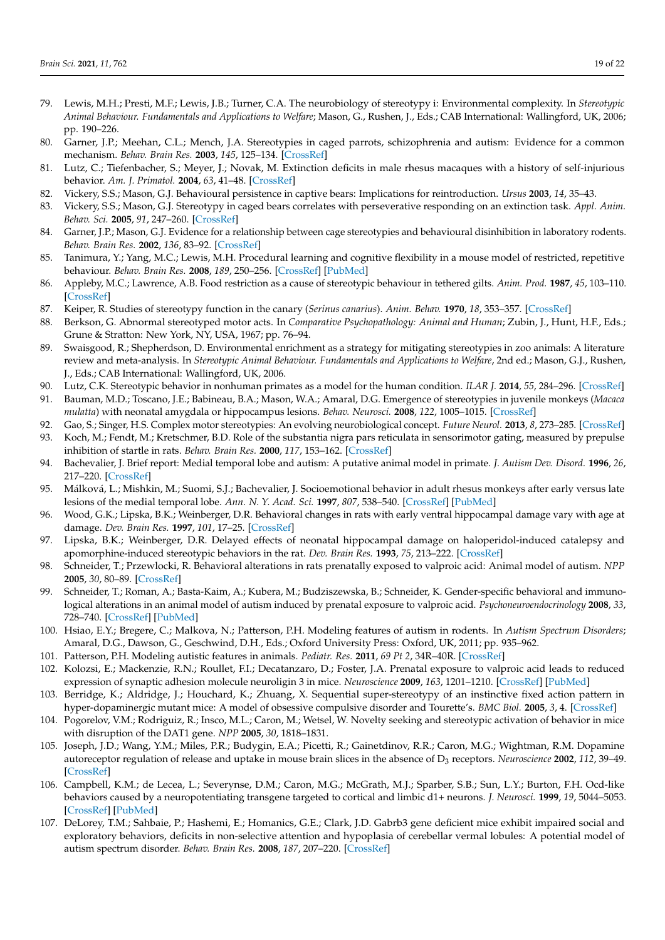- <span id="page-18-0"></span>79. Lewis, M.H.; Presti, M.F.; Lewis, J.B.; Turner, C.A. The neurobiology of stereotypy i: Environmental complexity. In *Stereotypic Animal Behaviour. Fundamentals and Applications to Welfare*; Mason, G., Rushen, J., Eds.; CAB International: Wallingford, UK, 2006; pp. 190–226.
- <span id="page-18-1"></span>80. Garner, J.P.; Meehan, C.L.; Mench, J.A. Stereotypies in caged parrots, schizophrenia and autism: Evidence for a common mechanism. *Behav. Brain Res.* **2003**, *145*, 125–134. [\[CrossRef\]](http://doi.org/10.1016/S0166-4328(03)00115-3)
- <span id="page-18-25"></span>81. Lutz, C.; Tiefenbacher, S.; Meyer, J.; Novak, M. Extinction deficits in male rhesus macaques with a history of self-injurious behavior. *Am. J. Primatol.* **2004**, *63*, 41–48. [\[CrossRef\]](http://doi.org/10.1002/ajp.20037)
- 82. Vickery, S.S.; Mason, G.J. Behavioural persistence in captive bears: Implications for reintroduction. *Ursus* **2003**, *14*, 35–43.
- <span id="page-18-2"></span>83. Vickery, S.S.; Mason, G.J. Stereotypy in caged bears correlates with perseverative responding on an extinction task. *Appl. Anim. Behav. Sci.* **2005**, *91*, 247–260. [\[CrossRef\]](http://doi.org/10.1016/j.applanim.2005.01.005)
- <span id="page-18-3"></span>84. Garner, J.P.; Mason, G.J. Evidence for a relationship between cage stereotypies and behavioural disinhibition in laboratory rodents. *Behav. Brain Res.* **2002**, *136*, 83–92. [\[CrossRef\]](http://doi.org/10.1016/S0166-4328(02)00111-0)
- <span id="page-18-4"></span>85. Tanimura, Y.; Yang, M.C.; Lewis, M.H. Procedural learning and cognitive flexibility in a mouse model of restricted, repetitive behaviour. *Behav. Brain Res.* **2008**, *189*, 250–256. [\[CrossRef\]](http://doi.org/10.1016/j.bbr.2008.01.001) [\[PubMed\]](http://www.ncbi.nlm.nih.gov/pubmed/18272239)
- <span id="page-18-5"></span>86. Appleby, M.C.; Lawrence, A.B. Food restriction as a cause of stereotypic behaviour in tethered gilts. *Anim. Prod.* **1987**, *45*, 103–110. [\[CrossRef\]](http://doi.org/10.1017/S0003356100036680)
- <span id="page-18-6"></span>87. Keiper, R. Studies of stereotypy function in the canary (*Serinus canarius*). *Anim. Behav.* **1970**, *18*, 353–357. [\[CrossRef\]](http://doi.org/10.1016/S0003-3472(70)80047-1)
- <span id="page-18-7"></span>88. Berkson, G. Abnormal stereotyped motor acts. In *Comparative Psychopathology: Animal and Human*; Zubin, J., Hunt, H.F., Eds.; Grune & Stratton: New York, NY, USA, 1967; pp. 76–94.
- <span id="page-18-8"></span>89. Swaisgood, R.; Shepherdson, D. Environmental enrichment as a strategy for mitigating stereotypies in zoo animals: A literature review and meta-analysis. In *Stereotypic Animal Behaviour. Fundamentals and Applications to Welfare*, 2nd ed.; Mason, G.J., Rushen, J., Eds.; CAB International: Wallingford, UK, 2006.
- <span id="page-18-9"></span>90. Lutz, C.K. Stereotypic behavior in nonhuman primates as a model for the human condition. *ILAR J.* **2014**, *55*, 284–296. [\[CrossRef\]](http://doi.org/10.1093/ilar/ilu016)
- <span id="page-18-10"></span>91. Bauman, M.D.; Toscano, J.E.; Babineau, B.A.; Mason, W.A.; Amaral, D.G. Emergence of stereotypies in juvenile monkeys (*Macaca mulatta*) with neonatal amygdala or hippocampus lesions. *Behav. Neurosci.* **2008**, *122*, 1005–1015. [\[CrossRef\]](http://doi.org/10.1037/a0012600)
- <span id="page-18-11"></span>92. Gao, S.; Singer, H.S. Complex motor stereotypies: An evolving neurobiological concept. *Future Neurol.* **2013**, *8*, 273–285. [\[CrossRef\]](http://doi.org/10.2217/fnl.13.4)
- <span id="page-18-12"></span>93. Koch, M.; Fendt, M.; Kretschmer, B.D. Role of the substantia nigra pars reticulata in sensorimotor gating, measured by prepulse inhibition of startle in rats. *Behav. Brain Res.* **2000**, *117*, 153–162. [\[CrossRef\]](http://doi.org/10.1016/S0166-4328(00)00299-0)
- <span id="page-18-13"></span>94. Bachevalier, J. Brief report: Medial temporal lobe and autism: A putative animal model in primate. *J. Autism Dev. Disord.* **1996**, *26*, 217–220. [\[CrossRef\]](http://doi.org/10.1007/BF02172015)
- 95. Málková, L.; Mishkin, M.; Suomi, S.J.; Bachevalier, J. Socioemotional behavior in adult rhesus monkeys after early versus late lesions of the medial temporal lobe. *Ann. N. Y. Acad. Sci.* **1997**, *807*, 538–540. [\[CrossRef\]](http://doi.org/10.1111/j.1749-6632.1997.tb51961.x) [\[PubMed\]](http://www.ncbi.nlm.nih.gov/pubmed/9071392)
- <span id="page-18-14"></span>96. Wood, G.K.; Lipska, B.K.; Weinberger, D.R. Behavioral changes in rats with early ventral hippocampal damage vary with age at damage. *Dev. Brain Res.* **1997**, *101*, 17–25. [\[CrossRef\]](http://doi.org/10.1016/S0165-3806(97)00050-3)
- <span id="page-18-15"></span>97. Lipska, B.K.; Weinberger, D.R. Delayed effects of neonatal hippocampal damage on haloperidol-induced catalepsy and apomorphine-induced stereotypic behaviors in the rat. *Dev. Brain Res.* **1993**, *75*, 213–222. [\[CrossRef\]](http://doi.org/10.1016/0165-3806(93)90026-7)
- <span id="page-18-16"></span>98. Schneider, T.; Przewlocki, R. Behavioral alterations in rats prenatally exposed to valproic acid: Animal model of autism. *NPP* **2005**, *30*, 80–89. [\[CrossRef\]](http://doi.org/10.1038/sj.npp.1300518)
- <span id="page-18-17"></span>99. Schneider, T.; Roman, A.; Basta-Kaim, A.; Kubera, M.; Budziszewska, B.; Schneider, K. Gender-specific behavioral and immunological alterations in an animal model of autism induced by prenatal exposure to valproic acid. *Psychoneuroendocrinology* **2008**, *33*, 728–740. [\[CrossRef\]](http://doi.org/10.1016/j.psyneuen.2008.02.011) [\[PubMed\]](http://www.ncbi.nlm.nih.gov/pubmed/18396377)
- 100. Hsiao, E.Y.; Bregere, C.; Malkova, N.; Patterson, P.H. Modeling features of autism in rodents. In *Autism Spectrum Disorders*; Amaral, D.G., Dawson, G., Geschwind, D.H., Eds.; Oxford University Press: Oxford, UK, 2011; pp. 935–962.
- <span id="page-18-18"></span>101. Patterson, P.H. Modeling autistic features in animals. *Pediatr. Res.* **2011**, *69 Pt 2*, 34R–40R. [\[CrossRef\]](http://doi.org/10.1203/PDR.0b013e318212b80f)
- <span id="page-18-19"></span>102. Kolozsi, E.; Mackenzie, R.N.; Roullet, F.I.; Decatanzaro, D.; Foster, J.A. Prenatal exposure to valproic acid leads to reduced expression of synaptic adhesion molecule neuroligin 3 in mice. *Neuroscience* **2009**, *163*, 1201–1210. [\[CrossRef\]](http://doi.org/10.1016/j.neuroscience.2009.07.021) [\[PubMed\]](http://www.ncbi.nlm.nih.gov/pubmed/19607885)
- <span id="page-18-20"></span>103. Berridge, K.; Aldridge, J.; Houchard, K.; Zhuang, X. Sequential super-stereotypy of an instinctive fixed action pattern in hyper-dopaminergic mutant mice: A model of obsessive compulsive disorder and Tourette's. *BMC Biol.* **2005**, *3*, 4. [\[CrossRef\]](http://doi.org/10.1186/1741-7007-3-4)
- <span id="page-18-21"></span>104. Pogorelov, V.M.; Rodriguiz, R.; Insco, M.L.; Caron, M.; Wetsel, W. Novelty seeking and stereotypic activation of behavior in mice with disruption of the DAT1 gene. *NPP* **2005**, *30*, 1818–1831.
- <span id="page-18-22"></span>105. Joseph, J.D.; Wang, Y.M.; Miles, P.R.; Budygin, E.A.; Picetti, R.; Gainetdinov, R.R.; Caron, M.G.; Wightman, R.M. Dopamine autoreceptor regulation of release and uptake in mouse brain slices in the absence of D<sub>3</sub> receptors. *Neuroscience* 2002, 112, 39-49. [\[CrossRef\]](http://doi.org/10.1016/S0306-4522(02)00067-2)
- <span id="page-18-23"></span>106. Campbell, K.M.; de Lecea, L.; Severynse, D.M.; Caron, M.G.; McGrath, M.J.; Sparber, S.B.; Sun, L.Y.; Burton, F.H. Ocd-like behaviors caused by a neuropotentiating transgene targeted to cortical and limbic d1+ neurons. *J. Neurosci.* **1999**, *19*, 5044–5053. [\[CrossRef\]](http://doi.org/10.1523/JNEUROSCI.19-12-05044.1999) [\[PubMed\]](http://www.ncbi.nlm.nih.gov/pubmed/10366637)
- <span id="page-18-24"></span>107. DeLorey, T.M.; Sahbaie, P.; Hashemi, E.; Homanics, G.E.; Clark, J.D. Gabrb3 gene deficient mice exhibit impaired social and exploratory behaviors, deficits in non-selective attention and hypoplasia of cerebellar vermal lobules: A potential model of autism spectrum disorder. *Behav. Brain Res.* **2008**, *187*, 207–220. [\[CrossRef\]](http://doi.org/10.1016/j.bbr.2007.09.009)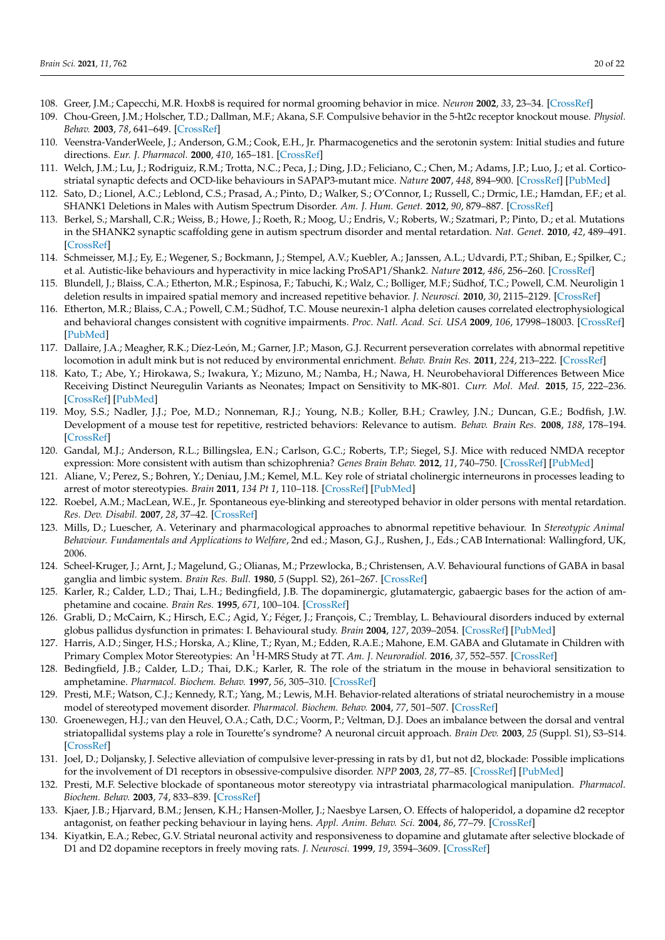- <span id="page-19-0"></span>108. Greer, J.M.; Capecchi, M.R. Hoxb8 is required for normal grooming behavior in mice. *Neuron* **2002**, *33*, 23–34. [\[CrossRef\]](http://doi.org/10.1016/S0896-6273(01)00564-5)
- <span id="page-19-1"></span>109. Chou-Green, J.M.; Holscher, T.D.; Dallman, M.F.; Akana, S.F. Compulsive behavior in the 5-ht2c receptor knockout mouse. *Physiol. Behav.* **2003**, *78*, 641–649. [\[CrossRef\]](http://doi.org/10.1016/S0031-9384(03)00047-7)
- <span id="page-19-2"></span>110. Veenstra-VanderWeele, J.; Anderson, G.M.; Cook, E.H., Jr. Pharmacogenetics and the serotonin system: Initial studies and future directions. *Eur. J. Pharmacol.* **2000**, *410*, 165–181. [\[CrossRef\]](http://doi.org/10.1016/S0014-2999(00)00814-1)
- <span id="page-19-3"></span>111. Welch, J.M.; Lu, J.; Rodriguiz, R.M.; Trotta, N.C.; Peca, J.; Ding, J.D.; Feliciano, C.; Chen, M.; Adams, J.P.; Luo, J.; et al. Corticostriatal synaptic defects and OCD-like behaviours in SAPAP3-mutant mice. *Nature* **2007**, *448*, 894–900. [\[CrossRef\]](http://doi.org/10.1038/nature06104) [\[PubMed\]](http://www.ncbi.nlm.nih.gov/pubmed/17713528)
- <span id="page-19-4"></span>112. Sato, D.; Lionel, A.C.; Leblond, C.S.; Prasad, A.; Pinto, D.; Walker, S.; O'Connor, I.; Russell, C.; Drmic, I.E.; Hamdan, F.F.; et al. SHANK1 Deletions in Males with Autism Spectrum Disorder. *Am. J. Hum. Genet.* **2012**, *90*, 879–887. [\[CrossRef\]](http://doi.org/10.1016/j.ajhg.2012.03.017)
- <span id="page-19-5"></span>113. Berkel, S.; Marshall, C.R.; Weiss, B.; Howe, J.; Roeth, R.; Moog, U.; Endris, V.; Roberts, W.; Szatmari, P.; Pinto, D.; et al. Mutations in the SHANK2 synaptic scaffolding gene in autism spectrum disorder and mental retardation. *Nat. Genet.* **2010**, *42*, 489–491. [\[CrossRef\]](http://doi.org/10.1038/ng.589)
- <span id="page-19-6"></span>114. Schmeisser, M.J.; Ey, E.; Wegener, S.; Bockmann, J.; Stempel, A.V.; Kuebler, A.; Janssen, A.L.; Udvardi, P.T.; Shiban, E.; Spilker, C.; et al. Autistic-like behaviours and hyperactivity in mice lacking ProSAP1/Shank2. *Nature* **2012**, *486*, 256–260. [\[CrossRef\]](http://doi.org/10.1038/nature11015)
- <span id="page-19-7"></span>115. Blundell, J.; Blaiss, C.A.; Etherton, M.R.; Espinosa, F.; Tabuchi, K.; Walz, C.; Bolliger, M.F.; Südhof, T.C.; Powell, C.M. Neuroligin 1 deletion results in impaired spatial memory and increased repetitive behavior. *J. Neurosci.* **2010**, *30*, 2115–2129. [\[CrossRef\]](http://doi.org/10.1523/JNEUROSCI.4517-09.2010)
- <span id="page-19-8"></span>116. Etherton, M.R.; Blaiss, C.A.; Powell, C.M.; Südhof, T.C. Mouse neurexin-1 alpha deletion causes correlated electrophysiological and behavioral changes consistent with cognitive impairments. *Proc. Natl. Acad. Sci. USA* **2009**, *106*, 17998–18003. [\[CrossRef\]](http://doi.org/10.1073/pnas.0910297106) [\[PubMed\]](http://www.ncbi.nlm.nih.gov/pubmed/19822762)
- <span id="page-19-9"></span>117. Dallaire, J.A.; Meagher, R.K.; Díez-León, M.; Garner, J.P.; Mason, G.J. Recurrent perseveration correlates with abnormal repetitive locomotion in adult mink but is not reduced by environmental enrichment. *Behav. Brain Res.* **2011**, *224*, 213–222. [\[CrossRef\]](http://doi.org/10.1016/j.bbr.2011.03.061)
- <span id="page-19-10"></span>118. Kato, T.; Abe, Y.; Hirokawa, S.; Iwakura, Y.; Mizuno, M.; Namba, H.; Nawa, H. Neurobehavioral Differences Between Mice Receiving Distinct Neuregulin Variants as Neonates; Impact on Sensitivity to MK-801. *Curr. Mol. Med.* **2015**, *15*, 222–236. [\[CrossRef\]](http://doi.org/10.2174/1566524015666150330143300) [\[PubMed\]](http://www.ncbi.nlm.nih.gov/pubmed/25817857)
- <span id="page-19-11"></span>119. Moy, S.S.; Nadler, J.J.; Poe, M.D.; Nonneman, R.J.; Young, N.B.; Koller, B.H.; Crawley, J.N.; Duncan, G.E.; Bodfish, J.W. Development of a mouse test for repetitive, restricted behaviors: Relevance to autism. *Behav. Brain Res.* **2008**, *188*, 178–194. [\[CrossRef\]](http://doi.org/10.1016/j.bbr.2007.10.029)
- <span id="page-19-12"></span>120. Gandal, M.J.; Anderson, R.L.; Billingslea, E.N.; Carlson, G.C.; Roberts, T.P.; Siegel, S.J. Mice with reduced NMDA receptor expression: More consistent with autism than schizophrenia? *Genes Brain Behav.* **2012**, *11*, 740–750. [\[CrossRef\]](http://doi.org/10.1111/j.1601-183X.2012.00816.x) [\[PubMed\]](http://www.ncbi.nlm.nih.gov/pubmed/22726567)
- <span id="page-19-13"></span>121. Aliane, V.; Perez, S.; Bohren, Y.; Deniau, J.M.; Kemel, M.L. Key role of striatal cholinergic interneurons in processes leading to arrest of motor stereotypies. *Brain* **2011**, *134 Pt 1*, 110–118. [\[CrossRef\]](http://doi.org/10.1093/brain/awq285) [\[PubMed\]](http://www.ncbi.nlm.nih.gov/pubmed/21097493)
- <span id="page-19-14"></span>122. Roebel, A.M.; MacLean, W.E., Jr. Spontaneous eye-blinking and stereotyped behavior in older persons with mental retardation. *Res. Dev. Disabil.* **2007**, *28*, 37–42. [\[CrossRef\]](http://doi.org/10.1016/j.ridd.2005.10.004)
- <span id="page-19-15"></span>123. Mills, D.; Luescher, A. Veterinary and pharmacological approaches to abnormal repetitive behaviour. In *Stereotypic Animal Behaviour. Fundamentals and Applications to Welfare*, 2nd ed.; Mason, G.J., Rushen, J., Eds.; CAB International: Wallingford, UK, 2006.
- <span id="page-19-16"></span>124. Scheel-Kruger, J.; Arnt, J.; Magelund, G.; Olianas, M.; Przewlocka, B.; Christensen, A.V. Behavioural functions of GABA in basal ganglia and limbic system. *Brain Res. Bull.* **1980**, *5* (Suppl. S2), 261–267. [\[CrossRef\]](http://doi.org/10.1016/0361-9230(80)90043-X)
- <span id="page-19-17"></span>125. Karler, R.; Calder, L.D.; Thai, L.H.; Bedingfield, J.B. The dopaminergic, glutamatergic, gabaergic bases for the action of amphetamine and cocaine. *Brain Res.* **1995**, *671*, 100–104. [\[CrossRef\]](http://doi.org/10.1016/0006-8993(94)01334-E)
- <span id="page-19-18"></span>126. Grabli, D.; McCairn, K.; Hirsch, E.C.; Agid, Y.; Féger, J.; François, C.; Tremblay, L. Behavioural disorders induced by external globus pallidus dysfunction in primates: I. Behavioural study. *Brain* **2004**, *127*, 2039–2054. [\[CrossRef\]](http://doi.org/10.1093/brain/awh220) [\[PubMed\]](http://www.ncbi.nlm.nih.gov/pubmed/15292053)
- <span id="page-19-19"></span>127. Harris, A.D.; Singer, H.S.; Horska, A.; Kline, T.; Ryan, M.; Edden, R.A.E.; Mahone, E.M. GABA and Glutamate in Children with Primary Complex Motor Stereotypies: An <sup>1</sup>H-MRS Study at 7T. *Am. J. Neuroradiol.* **2016**, *37*, 552–557. [\[CrossRef\]](http://doi.org/10.3174/ajnr.A4547)
- <span id="page-19-20"></span>128. Bedingfield, J.B.; Calder, L.D.; Thai, D.K.; Karler, R. The role of the striatum in the mouse in behavioral sensitization to amphetamine. *Pharmacol. Biochem. Behav.* **1997**, *56*, 305–310. [\[CrossRef\]](http://doi.org/10.1016/S0091-3057(96)00331-0)
- <span id="page-19-21"></span>129. Presti, M.F.; Watson, C.J.; Kennedy, R.T.; Yang, M.; Lewis, M.H. Behavior-related alterations of striatal neurochemistry in a mouse model of stereotyped movement disorder. *Pharmacol. Biochem. Behav.* **2004**, *77*, 501–507. [\[CrossRef\]](http://doi.org/10.1016/j.pbb.2003.12.004)
- <span id="page-19-22"></span>130. Groenewegen, H.J.; van den Heuvel, O.A.; Cath, D.C.; Voorm, P.; Veltman, D.J. Does an imbalance between the dorsal and ventral striatopallidal systems play a role in Tourette's syndrome? A neuronal circuit approach. *Brain Dev.* **2003**, *25* (Suppl. S1), S3–S14. [\[CrossRef\]](http://doi.org/10.1016/S0387-7604(03)90001-5)
- <span id="page-19-23"></span>131. Joel, D.; Doljansky, J. Selective alleviation of compulsive lever-pressing in rats by d1, but not d2, blockade: Possible implications for the involvement of D1 receptors in obsessive-compulsive disorder. *NPP* **2003**, *28*, 77–85. [\[CrossRef\]](http://doi.org/10.1038/sj.npp.1300010) [\[PubMed\]](http://www.ncbi.nlm.nih.gov/pubmed/12496943)
- <span id="page-19-24"></span>132. Presti, M.F. Selective blockade of spontaneous motor stereotypy via intrastriatal pharmacological manipulation. *Pharmacol. Biochem. Behav.* **2003**, *74*, 833–839. [\[CrossRef\]](http://doi.org/10.1016/S0091-3057(02)01081-X)
- <span id="page-19-25"></span>133. Kjaer, J.B.; Hjarvard, B.M.; Jensen, K.H.; Hansen-Moller, J.; Naesbye Larsen, O. Effects of haloperidol, a dopamine d2 receptor antagonist, on feather pecking behaviour in laying hens. *Appl. Anim. Behav. Sci.* **2004**, *86*, 77–79. [\[CrossRef\]](http://doi.org/10.1016/j.applanim.2003.11.009)
- <span id="page-19-26"></span>134. Kiyatkin, E.A.; Rebec, G.V. Striatal neuronal activity and responsiveness to dopamine and glutamate after selective blockade of D1 and D2 dopamine receptors in freely moving rats. *J. Neurosci.* **1999**, *19*, 3594–3609. [\[CrossRef\]](http://doi.org/10.1523/JNEUROSCI.19-09-03594.1999)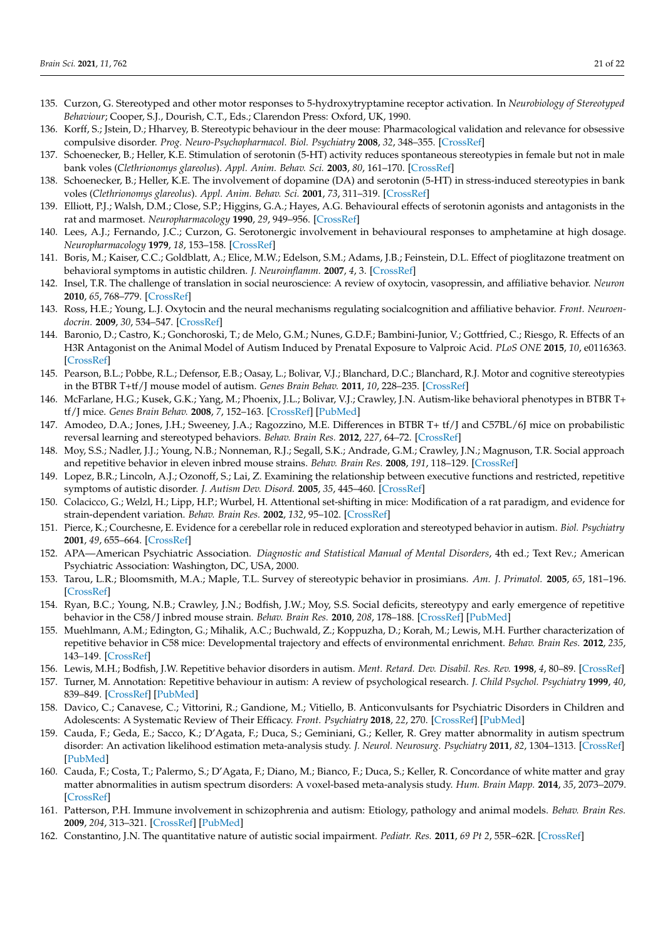- <span id="page-20-0"></span>135. Curzon, G. Stereotyped and other motor responses to 5-hydroxytryptamine receptor activation. In *Neurobiology of Stereotyped Behaviour*; Cooper, S.J., Dourish, C.T., Eds.; Clarendon Press: Oxford, UK, 1990.
- <span id="page-20-1"></span>136. Korff, S.; Jstein, D.; Hharvey, B. Stereotypic behaviour in the deer mouse: Pharmacological validation and relevance for obsessive compulsive disorder. *Prog. Neuro-Psychopharmacol. Biol. Psychiatry* **2008**, *32*, 348–355. [\[CrossRef\]](http://doi.org/10.1016/j.pnpbp.2007.08.032)
- <span id="page-20-2"></span>137. Schoenecker, B.; Heller, K.E. Stimulation of serotonin (5-HT) activity reduces spontaneous stereotypies in female but not in male bank voles (*Clethrionomys glareolus*). *Appl. Anim. Behav. Sci.* **2003**, *80*, 161–170. [\[CrossRef\]](http://doi.org/10.1016/S0168-1591(02)00210-1)
- <span id="page-20-3"></span>138. Schoenecker, B.; Heller, K.E. The involvement of dopamine (DA) and serotonin (5-HT) in stress-induced stereotypies in bank voles (*Clethrionomys glareolus*). *Appl. Anim. Behav. Sci.* **2001**, *73*, 311–319. [\[CrossRef\]](http://doi.org/10.1016/S0168-1591(01)00143-5)
- <span id="page-20-4"></span>139. Elliott, P.J.; Walsh, D.M.; Close, S.P.; Higgins, G.A.; Hayes, A.G. Behavioural effects of serotonin agonists and antagonists in the rat and marmoset. *Neuropharmacology* **1990**, *29*, 949–956. [\[CrossRef\]](http://doi.org/10.1016/0028-3908(90)90146-I)
- <span id="page-20-5"></span>140. Lees, A.J.; Fernando, J.C.; Curzon, G. Serotonergic involvement in behavioural responses to amphetamine at high dosage. *Neuropharmacology* **1979**, *18*, 153–158. [\[CrossRef\]](http://doi.org/10.1016/0028-3908(79)90055-8)
- <span id="page-20-6"></span>141. Boris, M.; Kaiser, C.C.; Goldblatt, A.; Elice, M.W.; Edelson, S.M.; Adams, J.B.; Feinstein, D.L. Effect of pioglitazone treatment on behavioral symptoms in autistic children. *J. Neuroinflamm.* **2007**, *4*, 3. [\[CrossRef\]](http://doi.org/10.1186/1742-2094-4-3)
- <span id="page-20-7"></span>142. Insel, T.R. The challenge of translation in social neuroscience: A review of oxytocin, vasopressin, and affiliative behavior. *Neuron* **2010**, *65*, 768–779. [\[CrossRef\]](http://doi.org/10.1016/j.neuron.2010.03.005)
- <span id="page-20-8"></span>143. Ross, H.E.; Young, L.J. Oxytocin and the neural mechanisms regulating socialcognition and affiliative behavior. *Front. Neuroendocrin.* **2009**, *30*, 534–547. [\[CrossRef\]](http://doi.org/10.1016/j.yfrne.2009.05.004)
- <span id="page-20-9"></span>144. Baronio, D.; Castro, K.; Gonchoroski, T.; de Melo, G.M.; Nunes, G.D.F.; Bambini-Junior, V.; Gottfried, C.; Riesgo, R. Effects of an H3R Antagonist on the Animal Model of Autism Induced by Prenatal Exposure to Valproic Acid. *PLoS ONE* **2015**, *10*, e0116363. [\[CrossRef\]](http://doi.org/10.1371/journal.pone.0116363)
- <span id="page-20-10"></span>145. Pearson, B.L.; Pobbe, R.L.; Defensor, E.B.; Oasay, L.; Bolivar, V.J.; Blanchard, D.C.; Blanchard, R.J. Motor and cognitive stereotypies in the BTBR T+tf/J mouse model of autism. *Genes Brain Behav.* **2011**, *10*, 228–235. [\[CrossRef\]](http://doi.org/10.1111/j.1601-183X.2010.00659.x)
- <span id="page-20-11"></span>146. McFarlane, H.G.; Kusek, G.K.; Yang, M.; Phoenix, J.L.; Bolivar, V.J.; Crawley, J.N. Autism-like behavioral phenotypes in BTBR T+ tf/J mice. *Genes Brain Behav.* **2008**, *7*, 152–163. [\[CrossRef\]](http://doi.org/10.1111/j.1601-183X.2007.00330.x) [\[PubMed\]](http://www.ncbi.nlm.nih.gov/pubmed/17559418)
- <span id="page-20-12"></span>147. Amodeo, D.A.; Jones, J.H.; Sweeney, J.A.; Ragozzino, M.E. Differences in BTBR T+ tf/J and C57BL/6J mice on probabilistic reversal learning and stereotyped behaviors. *Behav. Brain Res.* **2012**, *227*, 64–72. [\[CrossRef\]](http://doi.org/10.1016/j.bbr.2011.10.032)
- <span id="page-20-13"></span>148. Moy, S.S.; Nadler, J.J.; Young, N.B.; Nonneman, R.J.; Segall, S.K.; Andrade, G.M.; Crawley, J.N.; Magnuson, T.R. Social approach and repetitive behavior in eleven inbred mouse strains. *Behav. Brain Res.* **2008**, *191*, 118–129. [\[CrossRef\]](http://doi.org/10.1016/j.bbr.2008.03.015)
- <span id="page-20-14"></span>149. Lopez, B.R.; Lincoln, A.J.; Ozonoff, S.; Lai, Z. Examining the relationship between executive functions and restricted, repetitive symptoms of autistic disorder. *J. Autism Dev. Disord.* **2005**, *35*, 445–460. [\[CrossRef\]](http://doi.org/10.1007/s10803-005-5035-x)
- <span id="page-20-15"></span>150. Colacicco, G.; Welzl, H.; Lipp, H.P.; Wurbel, H. Attentional set-shifting in mice: Modification of a rat paradigm, and evidence for strain-dependent variation. *Behav. Brain Res.* **2002**, *132*, 95–102. [\[CrossRef\]](http://doi.org/10.1016/S0166-4328(01)00391-6)
- <span id="page-20-16"></span>151. Pierce, K.; Courchesne, E. Evidence for a cerebellar role in reduced exploration and stereotyped behavior in autism. *Biol. Psychiatry* **2001**, *49*, 655–664. [\[CrossRef\]](http://doi.org/10.1016/S0006-3223(00)01008-8)
- <span id="page-20-17"></span>152. APA—American Psychiatric Association. *Diagnostic and Statistical Manual of Mental Disorders*, 4th ed.; Text Rev.; American Psychiatric Association: Washington, DC, USA, 2000.
- <span id="page-20-18"></span>153. Tarou, L.R.; Bloomsmith, M.A.; Maple, T.L. Survey of stereotypic behavior in prosimians. *Am. J. Primatol.* **2005**, *65*, 181–196. [\[CrossRef\]](http://doi.org/10.1002/ajp.20107)
- <span id="page-20-19"></span>154. Ryan, B.C.; Young, N.B.; Crawley, J.N.; Bodfish, J.W.; Moy, S.S. Social deficits, stereotypy and early emergence of repetitive behavior in the C58/J inbred mouse strain. *Behav. Brain Res.* **2010**, *208*, 178–188. [\[CrossRef\]](http://doi.org/10.1016/j.bbr.2009.11.031) [\[PubMed\]](http://www.ncbi.nlm.nih.gov/pubmed/19941908)
- <span id="page-20-20"></span>155. Muehlmann, A.M.; Edington, G.; Mihalik, A.C.; Buchwald, Z.; Koppuzha, D.; Korah, M.; Lewis, M.H. Further characterization of repetitive behavior in C58 mice: Developmental trajectory and effects of environmental enrichment. *Behav. Brain Res.* **2012**, *235*, 143–149. [\[CrossRef\]](http://doi.org/10.1016/j.bbr.2012.07.041)
- <span id="page-20-21"></span>156. Lewis, M.H.; Bodfish, J.W. Repetitive behavior disorders in autism. *Ment. Retard. Dev. Disabil. Res. Rev.* **1998**, *4*, 80–89. [\[CrossRef\]](http://doi.org/10.1002/(SICI)1098-2779(1998)4:2<80::AID-MRDD4>3.0.CO;2-0)
- <span id="page-20-22"></span>157. Turner, M. Annotation: Repetitive behaviour in autism: A review of psychological research. *J. Child Psychol. Psychiatry* **1999**, *40*, 839–849. [\[CrossRef\]](http://doi.org/10.1111/1469-7610.00502) [\[PubMed\]](http://www.ncbi.nlm.nih.gov/pubmed/10509879)
- <span id="page-20-23"></span>158. Davico, C.; Canavese, C.; Vittorini, R.; Gandione, M.; Vitiello, B. Anticonvulsants for Psychiatric Disorders in Children and Adolescents: A Systematic Review of Their Efficacy. *Front. Psychiatry* **2018**, *22*, 270. [\[CrossRef\]](http://doi.org/10.3389/fpsyt.2018.00270) [\[PubMed\]](http://www.ncbi.nlm.nih.gov/pubmed/29988399)
- <span id="page-20-24"></span>159. Cauda, F.; Geda, E.; Sacco, K.; D'Agata, F.; Duca, S.; Geminiani, G.; Keller, R. Grey matter abnormality in autism spectrum disorder: An activation likelihood estimation meta-analysis study. *J. Neurol. Neurosurg. Psychiatry* **2011**, *82*, 1304–1313. [\[CrossRef\]](http://doi.org/10.1136/jnnp.2010.239111) [\[PubMed\]](http://www.ncbi.nlm.nih.gov/pubmed/21693631)
- <span id="page-20-25"></span>160. Cauda, F.; Costa, T.; Palermo, S.; D'Agata, F.; Diano, M.; Bianco, F.; Duca, S.; Keller, R. Concordance of white matter and gray matter abnormalities in autism spectrum disorders: A voxel-based meta-analysis study. *Hum. Brain Mapp.* **2014**, *35*, 2073–2079. [\[CrossRef\]](http://doi.org/10.1002/hbm.22313)
- <span id="page-20-26"></span>161. Patterson, P.H. Immune involvement in schizophrenia and autism: Etiology, pathology and animal models. *Behav. Brain Res.* **2009**, *204*, 313–321. [\[CrossRef\]](http://doi.org/10.1016/j.bbr.2008.12.016) [\[PubMed\]](http://www.ncbi.nlm.nih.gov/pubmed/19136031)
- <span id="page-20-27"></span>162. Constantino, J.N. The quantitative nature of autistic social impairment. *Pediatr. Res.* **2011**, *69 Pt 2*, 55R–62R. [\[CrossRef\]](http://doi.org/10.1203/PDR.0b013e318212ec6e)